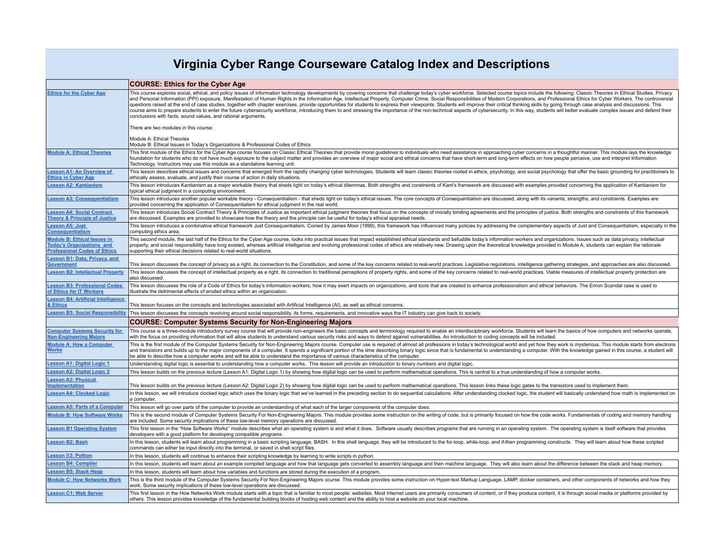## **Virginia Cyber Range Courseware Catalog Index and Descriptions**

|                                                                                                        | <b>COURSE: Ethics for the Cyber Age</b>                                                                                                                                                                                                                                                                                                                                                                                                                                                                                                                                                                                                                                                                                                                                                                                                                                                                                                                                                              |
|--------------------------------------------------------------------------------------------------------|------------------------------------------------------------------------------------------------------------------------------------------------------------------------------------------------------------------------------------------------------------------------------------------------------------------------------------------------------------------------------------------------------------------------------------------------------------------------------------------------------------------------------------------------------------------------------------------------------------------------------------------------------------------------------------------------------------------------------------------------------------------------------------------------------------------------------------------------------------------------------------------------------------------------------------------------------------------------------------------------------|
| <b>Ethics for the Cyber Age</b>                                                                        | This course explores social, ethical, and policy issues of information technology developments by covering concerns that challenge today's cyber workforce. Selected course topics include the following: Classic Theories in<br>and Personal Information (PPI) exposure, Manifestation of Human Rights in the Information Age, Intellectual Property, Computer Crime, Social Responsibilities of Modern Corporations, and Professional Ethics for Cyber Worker<br>questions raised at the end of case studies, together with chapter exercises, provide opportunities for students to express their viewpoints. Students will improve their critical thinking skills by going through case analy<br>course aims to prepare students to enter the future cybersecurity workforce, introducing them to and stressing the importance of the non-technical aspects of cybersecurity. In this way, students will better evaluate comple<br>conclusions with facts, sound values, and rational arguments. |
|                                                                                                        | There are two modules in this course:                                                                                                                                                                                                                                                                                                                                                                                                                                                                                                                                                                                                                                                                                                                                                                                                                                                                                                                                                                |
|                                                                                                        | Module A: Ethical Theories<br>Module B: Ethical Issues in Today's Organizations & Professional Codes of Ethics                                                                                                                                                                                                                                                                                                                                                                                                                                                                                                                                                                                                                                                                                                                                                                                                                                                                                       |
| <b>Module A: Ethical Theories</b>                                                                      | This first module of the Ethics for the Cyber Age course focuses on Classic Ethical Theories that provide moral guidelines to individuals who need assistance in approaching cyber concerns in a thoughtful manner. This modul<br>foundation for students who do not have much exposure to the subject matter and provides an overview of major social and ethical concerns that have short-term and long-term effects on how people perceive, use and interpret<br>Technology. Instructors may use this module as a standalone learning unit.                                                                                                                                                                                                                                                                                                                                                                                                                                                       |
| Lesson A1: An Overview of<br><b>Ethics in Cyber Age</b>                                                | This lesson describes ethical issues and concerns that emerged from the rapidly changing cyber technologies. Students will learn classic theories rooted in ethics, psychology, and social psychology that offer the basic gro<br>ethically assess, evaluate, and justify their course of action in daily situations.                                                                                                                                                                                                                                                                                                                                                                                                                                                                                                                                                                                                                                                                                |
| <b>Lesson A2: Kantianism</b>                                                                           | This lesson introduces Kantianism as a major workable theory that sheds light on today's ethical dilemmas. Both strengths and constraints of Kant's framework are discussed with examples provided concerning the application<br>typical ethical judgment in a computing environment.                                                                                                                                                                                                                                                                                                                                                                                                                                                                                                                                                                                                                                                                                                                |
| <b>Lesson A3: Consequentialism</b>                                                                     | This lesson introduces another popular workable theory - Consequentialism - that sheds light on today's ethical issues. The core concepts of Consequentialism are discussed, along with its variants, strengths, and constrain<br>provided concerning the application of Consequentialism for ethical judgment in the real world.                                                                                                                                                                                                                                                                                                                                                                                                                                                                                                                                                                                                                                                                    |
| <b>Lesson A4: Social Contract</b><br><b>Theory &amp; Principle of Justice</b>                          | This lesson introduces Social Contract Theory & Principles of Justice as important ethical judgment theories that focus on the concepts of morally binding agreements and the principles of justice. Both strengths and constr<br>are discussed. Examples are provided to showcase how the theory and the principle can be useful for today's ethical appraisal needs.                                                                                                                                                                                                                                                                                                                                                                                                                                                                                                                                                                                                                               |
| <b>Lesson A5: Just</b><br><b>Consequentialism</b>                                                      | This lesson introduces a combinative ethical framework Just Consequentialism. Coined by James Moor (1999), this framework has influenced many policies by addressing the complementary aspects of Just and Consequentialism, e<br>computing ethics area.                                                                                                                                                                                                                                                                                                                                                                                                                                                                                                                                                                                                                                                                                                                                             |
| Module B: Ethical Issues in<br><b>Today's Organizations and</b><br><b>Professional Codes of Ethics</b> | This second module, the last half of the Ethics for the Cyber Age course, looks into practical issues that impact established ethical standards and befuddle today's information workers and organizations. Issues such as dat<br>property, and social responsibility have long existed, whereas artificial intelligence and evolving professional codes of ethics are relatively new. Drawing upon the theoretical knowledge provided in Module A, students can<br>supporting their ethical decisions related to real-world situations.                                                                                                                                                                                                                                                                                                                                                                                                                                                             |
| esson B1: Data, Privacy, and<br><u>Government</u>                                                      | This lesson discusses the concept of privacy as a right, its connection to the Constitution, and some of the key concerns related to real-world practices. Legislative regulations, intelligence gathering strategies, and app                                                                                                                                                                                                                                                                                                                                                                                                                                                                                                                                                                                                                                                                                                                                                                       |
| esson B2: Intellectual Property                                                                        | This lesson discusses the concept of intellectual property as a right, its connection to traditional perceptions of property rights, and some of the key concerns related to real-world practices. Viable measures of intellec<br>also discussed.                                                                                                                                                                                                                                                                                                                                                                                                                                                                                                                                                                                                                                                                                                                                                    |
| esson B3: Professional Codes<br>of Ethics for IT Workers                                               | This lesson discusses the role of a Code of Ethics for today's information workers, how it may exert impacts on organizations, and tools that are created to enhance professionalism and ethical behaviors. The Enron Scandal<br>illustrate the detrimental effects of eroded ethics within an organization.                                                                                                                                                                                                                                                                                                                                                                                                                                                                                                                                                                                                                                                                                         |
| esson B4: Artificial Intelligence<br><b>Ethics</b>                                                     | This lesson focuses on the concepts and technologies associated with Artificial Intelligence (AI), as well as ethical concerns.                                                                                                                                                                                                                                                                                                                                                                                                                                                                                                                                                                                                                                                                                                                                                                                                                                                                      |
| <b>Lesson B5: Social Responsibility</b>                                                                | This lesson discusses the concepts revolving around social responsibility, its forms, requirements, and innovative ways the IT industry can give back to society.                                                                                                                                                                                                                                                                                                                                                                                                                                                                                                                                                                                                                                                                                                                                                                                                                                    |
|                                                                                                        | COURSE: Computer Systems Security for Non-Engineering Majors                                                                                                                                                                                                                                                                                                                                                                                                                                                                                                                                                                                                                                                                                                                                                                                                                                                                                                                                         |
| <b>Computer Systems Security for</b><br><b>Non-Engineering Majors</b>                                  | This course is a three-module introductory survey course that will provide non-engineers the basic concepts and terminology required to enable an interdisciplinary workforce. Students will learn the basics of how computers<br>with the focus on providing information that will allow students to understand various security risks and ways to defend against vulnerabilities. An introduction to coding concepts will be included.                                                                                                                                                                                                                                                                                                                                                                                                                                                                                                                                                             |
| <b>Module A: How a Computer</b><br>Works                                                               | This is the first module of the Computer Systems Security for Non-Engineering Majors course. Computer use is required of almost all professions in today's technological world and yet how they work is mysterious. This modul<br>and transistors and builds up to the major components of a computer. It spends a significant portion of the time describing binary logic since that is fundamental to understanding a computer. With the knowledge gained in t<br>be able to describe how a computer works and will be able to understand the importance of various characteristics of the computer.                                                                                                                                                                                                                                                                                                                                                                                               |
| Lesson A1: Digital Logic 1                                                                             | Understanding digital logic is essential to understanding how a computer works. This lesson will provide an introduction to binary numbers and digital logic.                                                                                                                                                                                                                                                                                                                                                                                                                                                                                                                                                                                                                                                                                                                                                                                                                                        |
| esson A2: Digital Logic 2                                                                              | This lesson builds on the previous lecture (Lesson A1: Digital Logic 1) by showing how digital logic can be used to perform mathematical operations. This is central to a true understanding of how a computer works.                                                                                                                                                                                                                                                                                                                                                                                                                                                                                                                                                                                                                                                                                                                                                                                |
| esson A3: Physical<br><b>Implementation</b>                                                            | This lesson builds on the previous lecture (Lesson A2: Digital Logic 2) by showing how digital logic can be used to perform mathematical operations. This lesson links these logic gates to the transistors used to implement                                                                                                                                                                                                                                                                                                                                                                                                                                                                                                                                                                                                                                                                                                                                                                        |
| <b>Lesson A4: Clocked Logic</b>                                                                        | In this lesson, we will introduce clocked logic which uses the binary logic that we've learned in the preceding section to do sequential calculations. After understanding clocked logic, the student will basically understan<br>a computer.                                                                                                                                                                                                                                                                                                                                                                                                                                                                                                                                                                                                                                                                                                                                                        |
| <b>Lesson A5: Parts of a Computer</b>                                                                  | This lesson will go over parts of the computer to provide an understanding of what each of the larger components of the computer does.                                                                                                                                                                                                                                                                                                                                                                                                                                                                                                                                                                                                                                                                                                                                                                                                                                                               |
| <b>Module B: How Software Works</b>                                                                    | This is the second module of Computer Systems Security For Non-Engineering Majors. This module provides some instruction on the writing of code, but is primarily focused on how the code works. Fundamentals of coding and me<br>are included. Some security implications of these low-level memory operations are discussed.                                                                                                                                                                                                                                                                                                                                                                                                                                                                                                                                                                                                                                                                       |
| <b>Lesson B1 Operating System</b>                                                                      | This first lesson in the "How Software Works" module describes what an operating system is and what it does. Software usually describes programs that are running in an operating system. The operating system is itself softw<br>developers with a good platform for developing compatible programs.                                                                                                                                                                                                                                                                                                                                                                                                                                                                                                                                                                                                                                                                                                |
| <b>Lesson B2: Bash</b>                                                                                 | In this lesson, students will learn about programming in a basic scripting language, BASH. In this shell language, they will be introduced to the for-loop, while-loop, and if-then programming constructs. They will learn ab<br>commands can either be input directly into the terminal, or saved in shell script files                                                                                                                                                                                                                                                                                                                                                                                                                                                                                                                                                                                                                                                                            |
| Lesson B3: Python                                                                                      | In this lesson, students will continue to enhance their scripting knowledge by learning to write scripts in python.                                                                                                                                                                                                                                                                                                                                                                                                                                                                                                                                                                                                                                                                                                                                                                                                                                                                                  |
| <b>Lesson B4: Compiler</b>                                                                             | In this lesson, students will learn about an example compiled language and how that language gets converted to assembly language and then machine language. They will also learn about the difference between the stack and he                                                                                                                                                                                                                                                                                                                                                                                                                                                                                                                                                                                                                                                                                                                                                                       |
| <b>Lesson B5: Stack Heap</b>                                                                           | In this lesson, students will learn about how variables and functions are stored during the execution of a program                                                                                                                                                                                                                                                                                                                                                                                                                                                                                                                                                                                                                                                                                                                                                                                                                                                                                   |
| <b>Module C: How Networks Work</b>                                                                     | This is the third module of the Computer Systems Security For Non-Engineering Majors course. This module provides some instruction on Hyper-text Markup Language, LAMP, docker containers, and other components of networks an<br>work. Some security implications of these low-level operations are discussed.                                                                                                                                                                                                                                                                                                                                                                                                                                                                                                                                                                                                                                                                                      |
| <b>Lesson C1: Web Server</b>                                                                           | This first lesson in the How Networks Work module starts with a topic that is familiar to most people: websites. Most Internet users are primarily consumers of content, or if they produce content, it is through social medi<br>others. This lesson provides knowledge of the fundamental building blocks of hosting web content and the ability to host a website on your local machine.                                                                                                                                                                                                                                                                                                                                                                                                                                                                                                                                                                                                          |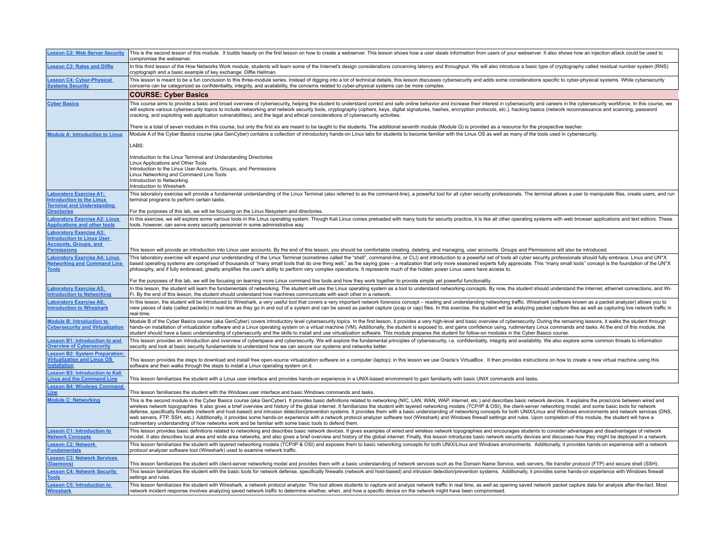| <b>Lesson C2: Web Server Security</b>                                                                                     | This is the second lesson of this module. It builds heavily on the first lesson on how to create a webserver. This lesson shows how a user steals information from users of your webserver. It also shows now an injection att<br>compromise the webserver.                                                                                                                                                                                                                                                                                                                                                                                                                                                                                                                                                                                                                                                                                                                                                                                  |
|---------------------------------------------------------------------------------------------------------------------------|----------------------------------------------------------------------------------------------------------------------------------------------------------------------------------------------------------------------------------------------------------------------------------------------------------------------------------------------------------------------------------------------------------------------------------------------------------------------------------------------------------------------------------------------------------------------------------------------------------------------------------------------------------------------------------------------------------------------------------------------------------------------------------------------------------------------------------------------------------------------------------------------------------------------------------------------------------------------------------------------------------------------------------------------|
| <b>Lesson C3: Rates and Diffie</b>                                                                                        | In this third lesson of the How Networks Work module, students will learn some of the Internet's design considerations concerning latency and throughput. We will also introduce a basic type of cryptography called residual<br>cryptograph and a basic example of key exchange: Diffie Hellman.                                                                                                                                                                                                                                                                                                                                                                                                                                                                                                                                                                                                                                                                                                                                            |
| <b>Lesson C4: Cyber-Physical</b><br><b>Systems Security</b>                                                               | This lesson is meant to be a fun conclusion to this three-module series. Instead of digging into a lot of technical details, this lesson discusses cybersecurity and adds some considerations specific to cyber-physical syste<br>concerns can be categorized as confidentiality, integrity, and availability, the concerns related to cyber-physical systems can be more complex.                                                                                                                                                                                                                                                                                                                                                                                                                                                                                                                                                                                                                                                           |
|                                                                                                                           | <b>COURSE: Cyber Basics</b>                                                                                                                                                                                                                                                                                                                                                                                                                                                                                                                                                                                                                                                                                                                                                                                                                                                                                                                                                                                                                  |
| <b>Cyber Basics</b>                                                                                                       | This course aims to provide a basic and broad overview of cybersecurity, helping the student to understand correct and safe online behavior and increase their interest in cybersecurity and careers in the cybersecurity work<br>will explore various cybersecurity topics to include networking and network security tools, cryptography (ciphers, keys, digital signatures, hashes, encryption protocols, etc.), hacking basics (network reconnaissance and s<br>cracking, and exploiting web application vulnerabilities), and the legal and ethical considerations of cybersecurity activities.                                                                                                                                                                                                                                                                                                                                                                                                                                         |
|                                                                                                                           | There is a total of seven modules in this course, but only the first six are meant to be taught to the students. The additional seventh module (Module G) is provided as a resource for the prospective teacher.                                                                                                                                                                                                                                                                                                                                                                                                                                                                                                                                                                                                                                                                                                                                                                                                                             |
| <b>Module A: Introduction to Linux</b>                                                                                    | Module A of the Cyber Basics course (aka GenCyber) contains a collection of introductory hands-on Linux labs for students to become familiar with the Linux OS as well as many of the tools used in cybersecurity.                                                                                                                                                                                                                                                                                                                                                                                                                                                                                                                                                                                                                                                                                                                                                                                                                           |
|                                                                                                                           | LABS:                                                                                                                                                                                                                                                                                                                                                                                                                                                                                                                                                                                                                                                                                                                                                                                                                                                                                                                                                                                                                                        |
|                                                                                                                           | Introduction to the Linux Terminal and Understanding Directories<br>Linux Applications and Other Tools<br>Introduction to the Linux User Accounts, Groups, and Permissions<br>Linux Networking and Command Line Tools<br>Introduction to Networking<br>Introduction to Wireshark                                                                                                                                                                                                                                                                                                                                                                                                                                                                                                                                                                                                                                                                                                                                                             |
| <b>Laboratory Exercise A1:</b><br><b>Introduction to the Linux</b><br><b>Terminal and Understanding</b>                   | This laboratory exercise will provide a fundamental understanding of the Linux Terminal (also referred to as the command-line), a powerful tool for all cyber security professionals. The terminal allows a user to manipulate<br>terminal programs to perform certain tasks.                                                                                                                                                                                                                                                                                                                                                                                                                                                                                                                                                                                                                                                                                                                                                                |
| <b>Directories</b>                                                                                                        | For the purposes of this lab, we will be focusing on the Linux filesystem and directories.                                                                                                                                                                                                                                                                                                                                                                                                                                                                                                                                                                                                                                                                                                                                                                                                                                                                                                                                                   |
| <b>Laboratory Exercise A2: Linux</b><br><b>Applications and other tools</b>                                               | In this exercise, we will explore some various tools in the Linux operating system. Though Kali Linux comes preloaded with many tools for security practice, it is like all other operating systems with web browser applicati<br>tools, however, can serve every security personnel in some administrative way.                                                                                                                                                                                                                                                                                                                                                                                                                                                                                                                                                                                                                                                                                                                             |
| <b>Laboratory Exercise A3:</b><br><b>Introduction to Linux User</b><br><b>Accounts, Groups, and</b><br><b>Permissions</b> | This lesson will provide an introduction into Linux user accounts. By the end of this lesson, you should be comfortable creating, deleting, and managing, user accounts. Groups and Permissions will also be introduced.                                                                                                                                                                                                                                                                                                                                                                                                                                                                                                                                                                                                                                                                                                                                                                                                                     |
| <b>Laboratory Exercise A4: Linux</b><br><b>Networking and Command Line</b><br><b>Tools</b>                                | This laboratory exercise will expand your understanding of the Linux Terminal (sometimes called the "shell", command-line, or CLI) and introduction to a powerful set of tools all cyber security professionals should fully e<br>based operating systems are comprised of thousands of "many small tools that do one thing well," as the saying goes - a realization that only more seasoned experts fully appreciate. This "many small tools" concept is the f<br>philosophy, and if fully embraced, greatly amplifies the user's ability to perform very complex operations. It represents much of the hidden power Linux users have access to.                                                                                                                                                                                                                                                                                                                                                                                           |
|                                                                                                                           | For the purposes of this lab, we will be focusing on learning more Linux command line tools and how they work together to provide simple yet powerful functionality.                                                                                                                                                                                                                                                                                                                                                                                                                                                                                                                                                                                                                                                                                                                                                                                                                                                                         |
| <b>Laboratory Exercise A5:</b><br><b>Introduction to Networking</b>                                                       | In this lesson, the student will learn the fundamentals of networking. The student will use the Linux operating system as a tool to understand networking concepts. By now, the student should understand the Internet, ethern<br>Fi. By the end of this lesson, the student should understand how machines communicate with each other in a network.                                                                                                                                                                                                                                                                                                                                                                                                                                                                                                                                                                                                                                                                                        |
| <b>Laboratory Exercise A6:</b><br><b>Introduction to Wireshark</b>                                                        | In this lesson, the student will be introduced to Wireshark, a very useful tool that covers a very important network forensics concept - reading and understanding networking traffic. Wireshark (software known as a packet a<br>view pieces of data (called packets) in real-time as they go in and out of a system and can be saved as packet capture (pcap or cap) files. In this exercise, the student will be analyzing packet capture files as well as ca<br>real-time.                                                                                                                                                                                                                                                                                                                                                                                                                                                                                                                                                               |
| <b>Module B: Introduction to</b><br><b>Cybersecurity and Virtualization</b>                                               | Module B of the Cyber Basics course (aka GenCyber) covers introductory level cybersecurity topics. In the first lesson, it provides a very high-level and basic overview of cybersecurity. During the remaining lessons, it wa<br>hands-on installation of virtualization software and a Linux operating system on a virtual machine (VM). Additionally, the student is exposed to, and gains confidence using, rudimentary Linux commands and tasks. At the end<br>student should have a basic understanding of cybersecurity and the skills to install and use virtualization software. This module prepares the student for follow-on modules in the Cyber Basics course.                                                                                                                                                                                                                                                                                                                                                                 |
| <b>Lesson B1: Introduction to and</b><br><b>Overview of Cybersecurity</b>                                                 | This lesson provides an introduction and overview of cyberspace and cybersecurity. We will explore the fundamental principles of cybersecurity, i.e. confidentiality, integrity and availability. We also explore some common<br>security and look at basic security fundamentals to understand how we can secure our systems and networks better.                                                                                                                                                                                                                                                                                                                                                                                                                                                                                                                                                                                                                                                                                           |
| <b>Lesson B2: System Preparation:</b><br><b>Virtualization and Linux OS</b><br><b>Installation</b>                        | This lesson provides the steps to download and install free open-source virtualization software on a computer (laptop); in this lesson we use Oracle's VirtualBox. It then provides instructions on how to create a new virtua<br>software and then walks through the steps to install a Linux operating system on it.                                                                                                                                                                                                                                                                                                                                                                                                                                                                                                                                                                                                                                                                                                                       |
| <b>Lesson B3: Introduction to Kali</b><br><b>Linux and the Command Line</b>                                               | This lesson familiarizes the student with a Linux user interface and provides hands-on experience in a UNIX-based environment to gain familiarity with basic UNIX commands and tasks.                                                                                                                                                                                                                                                                                                                                                                                                                                                                                                                                                                                                                                                                                                                                                                                                                                                        |
| <b>Lesson B4: Windows Command</b><br>Line                                                                                 | This lesson familiarizes the student with the Windows user interface and basic Windows commands and tasks.                                                                                                                                                                                                                                                                                                                                                                                                                                                                                                                                                                                                                                                                                                                                                                                                                                                                                                                                   |
| <b>Module C: Networking</b>                                                                                               | This is the second module in the Cyber Basics course (aka GenCyber). It provides basic definitions related to networking (NIC, LAN, WAR, WAP, internet, etc.) and describes basic network devices. It explains the pros/cons b<br>wireless network topographies. It also gives a brief overview and history of the global internet. It familiarizes the student with layered networking models (TCP/IP & OSI), the client-server networking model, and some basi<br>defense, specifically firewalls (network and host-based) and intrusion detection/prevention systems. It provides them with a basic understanding of networking concepts for both UNIX/Linux and Windows environments and netwo<br>web servers, FTP, SSH, etc.). Additionally, it provides some hands-on experience with a network protocol analyzer software tool (Wireshark) and Windows firewall settings and rules. Upon completion of this module, the stude<br>rudimentary understanding of how networks work and be familiar with some basic tools to defend them. |
| <b>Lesson C1: Introduction to</b><br><b>Network Concepts</b>                                                              | This lesson provides basic definitions related to networking and describes basic network devices. It gives examples of wired and wireless network topographies and encourages students to consider advantages and disadvantage<br>model. It also describes local area and wide area networks, and also gives a brief overview and history of the global internet. Finally, this lesson introduces basic network security devices and discusses how they might be                                                                                                                                                                                                                                                                                                                                                                                                                                                                                                                                                                             |
| <b>Lesson C2: Network</b><br><b>Fundamentals</b>                                                                          | This lesson familiarizes the student with layered networking models (TCP/IP & OSI) and exposes them to basic networking concepts for both UNIX/Linux and Windows environments. Additionally, it provides hands-on experience w<br>protocol analyzer software tool (Wireshark) used to examine network traffic.                                                                                                                                                                                                                                                                                                                                                                                                                                                                                                                                                                                                                                                                                                                               |
| <b>Lesson C3: Network Services</b><br>(Daemons)                                                                           | This lesson familiarizes the student with client-server networking model and provides them with a basic understanding of network services such as the Domain Name Service, web servers, file transfer protocol (FTP) and secur                                                                                                                                                                                                                                                                                                                                                                                                                                                                                                                                                                                                                                                                                                                                                                                                               |
| <b>Lesson C4: Network Security</b><br><b>Tools</b>                                                                        | This lesson familiarizes the student with the basic tools for network defense, specifically firewalls (network and host-based) and intrusion detection/prevention systems. Additionally, it provides some hands-on experience<br>settings and rules.                                                                                                                                                                                                                                                                                                                                                                                                                                                                                                                                                                                                                                                                                                                                                                                         |
| <b>Lesson C5: Introduction to</b><br><b>Wireshark</b>                                                                     | This lesson familiarizes the student with Wireshark, a network protocol analyzer. This tool allows students to capture and analyze network traffic in real time, as well as opening saved network packet capture data for anal<br>network incident response involves analyzing saved network traffic to determine whether, when, and how a specific device on the network might have been compromised.                                                                                                                                                                                                                                                                                                                                                                                                                                                                                                                                                                                                                                       |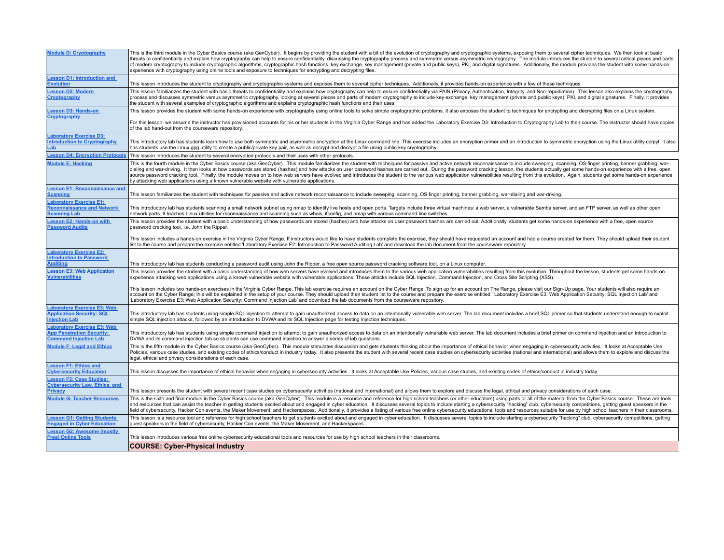| <b>Module D: Cryptography</b>                                                                  | This is the third module in the Cyber Basics course (aka GenCyber). It begins by providing the student with a bit of the evolution of cryptography and cryptographic systems, exposing them to several cipher techniques. We t<br>threats to confidentiality and explain how cryptography can help to ensure confidentiality, discussing the cryptography process and symmetric versus asymmetric cryptography. The module introduces the student to several cri<br>of modern cryptography to include cryptographic algorithms, cryptographic hash functions, key exchange, key management (private and public keys), PKI, and digital signatures. Additionally, the module provides the student w<br>experience with cryptography using online tools and exposure to techniques for encrypting and decrypting files. |
|------------------------------------------------------------------------------------------------|-----------------------------------------------------------------------------------------------------------------------------------------------------------------------------------------------------------------------------------------------------------------------------------------------------------------------------------------------------------------------------------------------------------------------------------------------------------------------------------------------------------------------------------------------------------------------------------------------------------------------------------------------------------------------------------------------------------------------------------------------------------------------------------------------------------------------|
| Lesson D1: Introduction and<br><b>Evolution</b>                                                | This lesson introduces the student to cryptography and cryptographic systems and exposes them to several cipher techniques. Additionally, it provides hands-on experience with a few of these techniques.                                                                                                                                                                                                                                                                                                                                                                                                                                                                                                                                                                                                             |
| esson D2: Modern<br><b>Cryptography</b>                                                        | This lesson familiarizes the student with basic threats to confidentiality and explains how cryptography can help to ensure confidentiality via PAIN (Privacy, Authentication, Integrity, and Non-repudiation). This lesson al<br>process and discusses symmetric versus asymmetric cryptography, looking at several pieces and parts of modern cryptography to include key exchange, key management (private and public keys), PKI, and digital signatures. Fin<br>the student with several examples of cryptographic algorithms and explains cryptographic hash functions and their uses.                                                                                                                                                                                                                           |
| esson D3: Hands-on<br><b>Cryptography</b>                                                      | This lesson provides the student with some hands-on experience with cryptography using online tools to solve simple cryptographic problems. It also exposes the student to techniques for encrypting and decrypting files on a                                                                                                                                                                                                                                                                                                                                                                                                                                                                                                                                                                                        |
|                                                                                                | For this lesson, we assume the instructor has provisioned accounts for his or her students in the Virginia Cyber Range and has added the Laboratory Exercise D3: Introduction to Cryptography Lab to their course. The instruc<br>of the lab hand-out from the courseware repository.                                                                                                                                                                                                                                                                                                                                                                                                                                                                                                                                 |
| aboratory Exercise D3:<br>ntroduction to Cryptography<br>Lab                                   | This introductory lab has students learn how to use both symmetric and asymmetric encryption at the Linux command line. This exercise includes an encryption primer and an introduction to symmetric encryption using the Linu<br>has students use the Linux apq utility to create a public/private key pair, as well as encrypt and decrypt a file using public-key cryptography.                                                                                                                                                                                                                                                                                                                                                                                                                                    |
| esson D4: Encryption Protocols                                                                 | This lesson introduces the student to several encryption protocols and their uses with other protocols.                                                                                                                                                                                                                                                                                                                                                                                                                                                                                                                                                                                                                                                                                                               |
| <b>Module E: Hacking</b>                                                                       | This is the fourth module in the Cyber Basics course (aka GenCyber). This module familiarizes the student with techniques for passive and active network reconnaissance to include sweeping, scanning, OS finger printing, ban<br>dialing and war-driving. It then looks at how passwords are stored (hashes) and how attacks on user password hashes are carried out. During the password cracking lesson, the students actually get some hands-on experience w<br>source password cracking tool. Finally, the module moves on to how web servers have evolved and introduces the student to the various web application vulnerabilities resulting from this evolution. Again, students get some<br>by attacking web applications using a known vulnerable website with vulnerable applications.                     |
| esson E1: Reconnaissance and<br><b>Scanning</b>                                                | This lesson familiarizes the student with techniques for passive and active network reconnaissance to include sweeping, scanning, OS finger printing, banner grabbing, war-dialing and war-driving.                                                                                                                                                                                                                                                                                                                                                                                                                                                                                                                                                                                                                   |
| <b>aboratory Exercise E1:</b><br><b>Reconnaissance and Network</b><br><b>Scanning Lab</b>      | This introductory lab has students scanning a small network subnet using nmap to identify live hosts and open ports. Targets include three virtual machines: a web server, a vulnerable Samba server, and an FTP server, as we<br>network ports. It teaches Linux utilities for reconnaissance and scanning such as whois, ifconfig, and nmap with various command-line switches.                                                                                                                                                                                                                                                                                                                                                                                                                                     |
| Lesson E2: Hands-on with<br><b>Password Audits</b>                                             | This lesson provides the student with a basic understanding of how passwords are stored (hashes) and how attacks on user password hashes are carried out. Additionally, students get some hands-on experience with a free, ope<br>password cracking tool, i.e. John the Ripper.                                                                                                                                                                                                                                                                                                                                                                                                                                                                                                                                       |
|                                                                                                | This lesson includes a hands-on exercise in the Virginia Cyber Range. If instructors would like to have students complete the exercise, they should have requested an account and had a course created for them. They should u<br>list to the course and prepare the exercise entitled 'Laboratory Exercise E2: Introduction to Password Auditing Lab' and download the lab document from the courseware repository.                                                                                                                                                                                                                                                                                                                                                                                                  |
| <b>Laboratory Exercise E2:</b><br>ntroduction to Password<br><b>Auditing</b>                   | This introductory lab has students conducting a password audit using John the Ripper, a free open source password cracking software tool, on a Linux computer.                                                                                                                                                                                                                                                                                                                                                                                                                                                                                                                                                                                                                                                        |
| <b>Lesson E3: Web Application</b><br><b>Vulnerabilities</b>                                    | This lesson provides the student with a basic understanding of how web servers have evolved and introduces them to the various web application vulnerabilities resulting from this evolution. Throughout the lesson, students<br>experience attacking web applications using a known vulnerable website with vulnerable applications. These attacks include SQL Injection, Command Injection, and Cross Site Scripting (XSS).                                                                                                                                                                                                                                                                                                                                                                                         |
|                                                                                                | This lesson includes two hands-on exercises in the Virginia Cyber Range. This lab exercise requires an account on the Cyber Range. To sign up for an account on The Range, please visit our Sign-Up page. Your students will a<br>account on the Cyber Range; this will be explained in the setup of your course. They should upload their student list to the course and prepare the exercise entitled 'Laboratory Exercise E3: Web Application Security: SQL I<br>'Laboratory Exercise E3: Web Application Security: Command Injection Lab' and download the lab documents from the courseware repository.                                                                                                                                                                                                          |
| <b>Laboratory Exercise E3: Web</b><br><b>Application Security: SQL</b><br><b>Injection Lab</b> | This introductory lab has students using simple SQL injection to attempt to gain unauthorized access to data on an intentionally vulnerable web server. The lab document includes a brief SQL primer so that students understa<br>simple SQL injection attacks, followed by an introduction to DVWA and its SQL Injection page for testing injection techniques.                                                                                                                                                                                                                                                                                                                                                                                                                                                      |
| aboratory Exercise E3: Web<br><b>App Penetration Security:</b><br><b>Command Injection Lab</b> | This introductory lab has students using simple command injection to attempt to gain unauthorized access to data on an intentionally vulnerable web server. The lab document includes a brief primer on command injection and<br>DVWA and its command injection tab so students can use command injection to answer a series of lab questions.                                                                                                                                                                                                                                                                                                                                                                                                                                                                        |
| <b>Module F: Legal and Ethics</b>                                                              | This is the fifth module in the Cyber Basics course (aka GenCyber). This module stimulates discussion and gets students thinking about the importance of ethical behavior when engaging in cybersecurity activities. It looks<br>Policies, various case studies, and existing codes of ethics/conduct in industry today. It also presents the student with several recent case studies on cybersecurity activities (national and international) and allows them<br>legal, ethical and privacy considerations of each case.                                                                                                                                                                                                                                                                                            |
| <b>Lesson F1: Ethics and</b><br><b>Cybersecurity Education</b>                                 | This lesson discusses the importance of ethical behavior when engaging in cybersecurity activities. It looks at Acceptable Use Policies, various case studies, and existing codes of ethics/conduct in industry today.                                                                                                                                                                                                                                                                                                                                                                                                                                                                                                                                                                                                |
| Lesson F2: Case Studies:<br><b>Cybersecurity Law, Ethics, and</b><br><b>Privacy</b>            | This lesson presents the student with several recent case studies on cybersecurity activities (national and international) and allows them to explore and discuss the legal, ethical and privacy considerations of each case.                                                                                                                                                                                                                                                                                                                                                                                                                                                                                                                                                                                         |
| <b>Module G: Teacher Resources</b>                                                             | This is the sixth and final module in the Cyber Basics course (aka GenCyber). This module is a resource and reference for high school teachers (or other educators) using parts or all of the material from the Cyber Basics c<br>and resources that can assist the teacher in getting students excited about and engaged in cyber education. It discusses several topics to include starting a cybersecurity "hacking" club, cybersecurity competitions, gettin<br>field of cybersecurity, Hacker Con events, the Maker Movement, and Hackerspaces. Additionally, it provides a listing of various free online cybersecurity educational tools and resources suitable for use by high school teac                                                                                                                    |
| Lesson G1: Getting Students<br><b>Engaged in Cyber Education</b>                               | This lesson is a resource tool and reference for high school teachers to get students excited about and engaged in cyber education. It discusses several topics to include starting a cybersecurity "hacking" club, cybersecur<br>guest speakers in the field of cybersecurity, Hacker Con events, the Maker Movement, and Hackerspaces.                                                                                                                                                                                                                                                                                                                                                                                                                                                                              |
| esson G2: Awesome (mostly<br><b>Free) Online Tools</b>                                         | This lesson introduces various free online cybersecurity educational tools and resources for use by high school teachers in their classrooms.                                                                                                                                                                                                                                                                                                                                                                                                                                                                                                                                                                                                                                                                         |
|                                                                                                | <b>COURSE: Cyber-Physical Industry</b>                                                                                                                                                                                                                                                                                                                                                                                                                                                                                                                                                                                                                                                                                                                                                                                |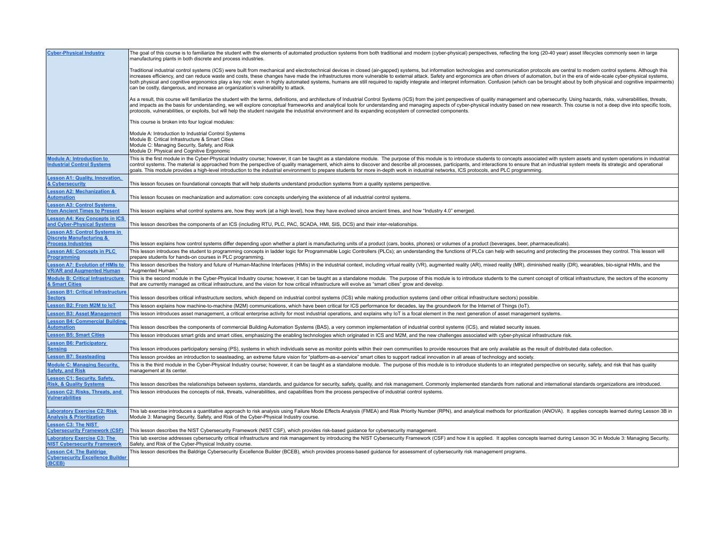| <b>Cyber-Physical Industry</b>                                                                 | The goal of this course is to familiarize the student with the elements of automated production systems from both traditional and modern (cyber-physical) perspectives, reflecting the long (20-40 year) asset lifecycles comm<br>manufacturing plants in both discrete and process industries.                                                                                                                                                                                                                                                                                                                                                                                                                                                                                         |
|------------------------------------------------------------------------------------------------|-----------------------------------------------------------------------------------------------------------------------------------------------------------------------------------------------------------------------------------------------------------------------------------------------------------------------------------------------------------------------------------------------------------------------------------------------------------------------------------------------------------------------------------------------------------------------------------------------------------------------------------------------------------------------------------------------------------------------------------------------------------------------------------------|
|                                                                                                | Traditional industrial control systems (ICS) were built from mechanical and electrotechnical devices in closed (air-gapped) systems, but information technologies and communication protocols are central to modern control sy<br>increases efficiency, and can reduce waste and costs, these changes have made the infrastructures more vulnerable to external attack. Safety and ergonomics are often drivers of automation, but in the era of wide-scale cybe<br>both physical and cognitive ergonomics play a key role: even in highly automated systems, humans are still required to rapidly integrate and interpret information. Confusion (which can be brought about by both physical and<br>can be costly, dangerous, and increase an organization's vulnerability to attack. |
|                                                                                                | As a result, this course will familiarize the student with the terms, definitions, and architecture of Industrial Control Systems (ICS) from the joint perspectives of quality management and cybersecurity. Using hazards, ri<br>and impacts as the basis for understanding, we will explore conceptual frameworks and analytical tools for understanding and managing aspects of cyber-physical industry based on new research. This course is not a deep dive<br>protocols, vulnerabilities, or exploits, but will help the student navigate the industrial environment and its expanding ecosystem of connected components.                                                                                                                                                         |
|                                                                                                | This course is broken into four logical modules:                                                                                                                                                                                                                                                                                                                                                                                                                                                                                                                                                                                                                                                                                                                                        |
|                                                                                                | Module A: Introduction to Industrial Control Systems<br>Module B: Critical Infrastructure & Smart Cities<br>Module C: Managing Security, Safety, and Risk<br>Module D: Physical and Cognitive Ergonomic                                                                                                                                                                                                                                                                                                                                                                                                                                                                                                                                                                                 |
| <b>Module A: Introduction to</b><br><b>Industrial Control Systems</b>                          | This is the first module in the Cyber-Physical Industry course; however, it can be taught as a standalone module. The purpose of this module is to introduce students to concepts associated with system assets and system ope<br>control systems. The material is approached from the perspective of quality management, which aims to discover and describe all processes, participants, and interactions to ensure that an industrial system meets its strate<br>goals. This module provides a high-level introduction to the industrial environment to prepare students for more in-depth work in industrial networks, ICS protocols, and PLC programming.                                                                                                                          |
| <b>Lesson A1: Quality, Innovation,</b><br><b>&amp; Cybersecurity</b>                           | This lesson focuses on foundational concepts that will help students understand production systems from a quality systems perspective.                                                                                                                                                                                                                                                                                                                                                                                                                                                                                                                                                                                                                                                  |
| <b>Lesson A2: Mechanization &amp;</b><br><b>Automation</b>                                     | This lesson focuses on mechanization and automation: core concepts underlying the existence of all industrial control systems.                                                                                                                                                                                                                                                                                                                                                                                                                                                                                                                                                                                                                                                          |
| esson A3: Control Systems<br><b>rom Ancient Times to Present</b>                               | This lesson explains what control systems are, how they work (at a high level), how they have evolved since ancient times, and how "Industry 4.0" emerged                                                                                                                                                                                                                                                                                                                                                                                                                                                                                                                                                                                                                               |
| <b>Lesson A4: Key Concepts in ICS</b><br>and Cyber-Physical Systems                            | This lesson describes the components of an ICS (including RTU, PLC, PAC, SCADA, HMI, SIS, DCS) and their inter-relationships.                                                                                                                                                                                                                                                                                                                                                                                                                                                                                                                                                                                                                                                           |
| <b>Lesson A5: Control Systems in</b><br><b>Discrete Manufacturing &amp;</b>                    |                                                                                                                                                                                                                                                                                                                                                                                                                                                                                                                                                                                                                                                                                                                                                                                         |
| <b>Process Industries</b>                                                                      | This lesson explains how control systems differ depending upon whether a plant is manufacturing units of a product (cars, books, phones) or volumes of a product (beverages, beer, pharmaceuticals)                                                                                                                                                                                                                                                                                                                                                                                                                                                                                                                                                                                     |
| <b>Lesson A6: Concepts in PLC</b><br><b>Programming</b>                                        | This lesson introduces the student to programming concepts in ladder logic for Programmable Logic Controllers (PLCs); an understanding the functions of PLCs can help with securing and protecting the processes they control.<br>prepare students for hands-on courses in PLC programming.                                                                                                                                                                                                                                                                                                                                                                                                                                                                                             |
| <b>Lesson A7: Evolution of HMIs to</b><br><b>VR/AR and Augmented Human</b>                     | This lesson describes the history and future of Human-Machine Interfaces (HMIs) in the industrial context, including virtual reality (VR), augmented reality (AR), mixed reality (MR), diminished reality (DR), wearables, bio<br>"Augmented Human."                                                                                                                                                                                                                                                                                                                                                                                                                                                                                                                                    |
| <b>Module B: Critical Infrastructure</b><br>& Smart Cities                                     | This is the second module in the Cyber-Physical Industry course; however, it can be taught as a standalone module. The purpose of this module is to introduce students to the current concept of critical infrastructure, the<br>that are currently managed as critical infrastructure, and the vision for how critical infrastructure will evolve as "smart cities" grow and develop.                                                                                                                                                                                                                                                                                                                                                                                                  |
| <b>Lesson B1: Critical Infrastructure</b><br><b>Sectors</b>                                    | This lesson describes critical infrastructure sectors, which depend on industrial control systems (ICS) while making production systems (and other critical infrastructure sectors) possible.                                                                                                                                                                                                                                                                                                                                                                                                                                                                                                                                                                                           |
| <b>Lesson B2: From M2M to loT</b>                                                              | This lesson explains how machine-to-machine (M2M) communications, which have been critical for ICS performance for decades, lay the groundwork for the Internet of Things (IoT).                                                                                                                                                                                                                                                                                                                                                                                                                                                                                                                                                                                                        |
| <b>Lesson B3: Asset Management</b>                                                             | This lesson introduces asset management, a critical enterprise activity for most industrial operations, and explains why loT is a focal element in the next generation of asset management systems.                                                                                                                                                                                                                                                                                                                                                                                                                                                                                                                                                                                     |
| esson B4: Commercial Building<br><b>Automation</b>                                             | This lesson describes the components of commercial Building Automation Systems (BAS), a very common implementation of industrial control systems (ICS), and related security issues.                                                                                                                                                                                                                                                                                                                                                                                                                                                                                                                                                                                                    |
| <b>Lesson B5: Smart Cities</b>                                                                 | This lesson introduces smart grids and smart cities, emphasizing the enabling technologies which originated in ICS and M2M, and the new challenges associated with cyber-physical infrastructure risk.                                                                                                                                                                                                                                                                                                                                                                                                                                                                                                                                                                                  |
| <b>Lesson B6: Participatory</b><br><u>Sensing</u>                                              | This lesson introduces participatory sensing (PS), systems in which individuals serve as monitor points within their own communities to provide resources that are only available as the result of distributed data collection                                                                                                                                                                                                                                                                                                                                                                                                                                                                                                                                                          |
| <b>Lesson B7: Seasteading</b>                                                                  | This lesson provides an introduction to seasteading, an extreme future vision for "platform-as-a-service" smart cities to support radical innovation in all areas of technology and society.                                                                                                                                                                                                                                                                                                                                                                                                                                                                                                                                                                                            |
| <b>Module C: Managing Security,</b><br><b>Safety, and Risk</b>                                 | This is the third module in the Cyber-Physical Industry course; however, it can be taught as a standalone module. The purpose of this module is to introduce students to an integrated perspective on security, safety, and ri<br>management at its center.                                                                                                                                                                                                                                                                                                                                                                                                                                                                                                                             |
| <b>Lesson C1: Security, Safety,</b>                                                            |                                                                                                                                                                                                                                                                                                                                                                                                                                                                                                                                                                                                                                                                                                                                                                                         |
| <b>Risk, &amp; Quality Systems</b><br>Lesson C2: Risks, Threats, and<br><b>Vulnerabilities</b> | This lesson describes the relationships between systems, standards, and quidance for security, safety, quality, and risk management. Commonly implemented standards from national and international standards organizations ar<br>This lesson introduces the concepts of risk, threats, vulnerabilities, and capabilities from the process perspective of industrial control systems                                                                                                                                                                                                                                                                                                                                                                                                    |
| <b>Laboratory Exercise C2: Risk</b><br><b>Analysis &amp; Prioritization</b>                    | This lab exercise introduces a quantitative approach to risk analysis using Failure Mode Effects Analysis (FMEA) and Risk Priority Number (RPN), and analytical methods for prioritization (ANOVA). It applies concepts learne<br>Module 3: Managing Security, Safety, and Risk of the Cyber-Physical Industry course.                                                                                                                                                                                                                                                                                                                                                                                                                                                                  |
| <b>Lesson C3: The NIST</b><br><b>Cybersecurity Framework (CSF)</b>                             | This lesson describes the NIST Cybersecurity Framework (NIST CSF), which provides risk-based quidance for cybersecurity management.                                                                                                                                                                                                                                                                                                                                                                                                                                                                                                                                                                                                                                                     |
| <b>Laboratory Exercise C3: The</b><br><b>NIST Cybersecurity Framework</b>                      | This lab exercise addresses cybersecurity critical infrastructure and risk management by introducing the NIST Cybersecurity Framework (CSF) and how it is applied. It applies concepts learned during Lesson 3C in Module 3: M<br>Safety, and Risk of the Cyber-Physical Industry course.                                                                                                                                                                                                                                                                                                                                                                                                                                                                                               |
| <b>Lesson C4: The Baldrige</b><br><b>Cybersecurity Excellence Builder</b><br>(BCEB)            | This lesson describes the Baldrige Cybersecurity Excellence Builder (BCEB), which provides process-based guidance for assessment of cybersecurity risk management programs.                                                                                                                                                                                                                                                                                                                                                                                                                                                                                                                                                                                                             |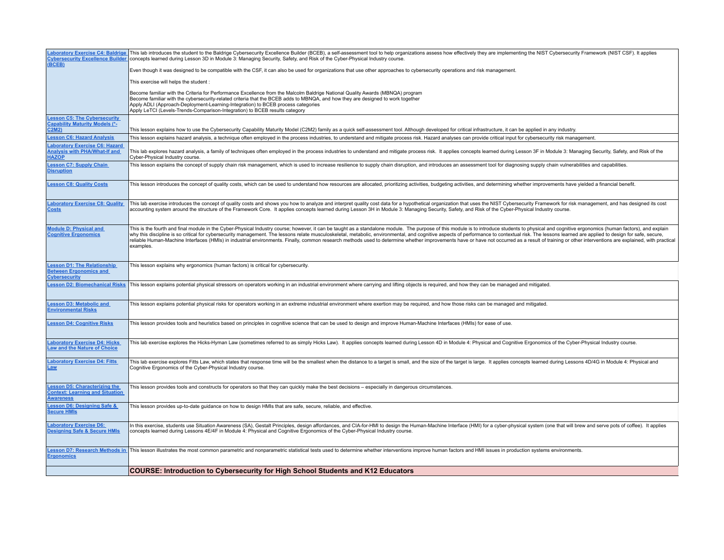| <b>Laboratory Exercise C4: Baldrige</b><br><b>Cybersecurity Excellence Builder</b><br>(BCEB) | This lab introduces the student to the Baldrige Cybersecurity Excellence Builder (BCEB), a self-assessment tool to help organizations assess how effectively they are implementing the NIST Cybersecurity Framework (NIST CSF)<br>concepts learned during Lesson 3D in Module 3: Managing Security, Safety, and Risk of the Cyber-Physical Industry course.                                                                                                                                                                                                                                                                                                                                                     |
|----------------------------------------------------------------------------------------------|-----------------------------------------------------------------------------------------------------------------------------------------------------------------------------------------------------------------------------------------------------------------------------------------------------------------------------------------------------------------------------------------------------------------------------------------------------------------------------------------------------------------------------------------------------------------------------------------------------------------------------------------------------------------------------------------------------------------|
|                                                                                              | Even though it was designed to be compatible with the CSF, it can also be used for organizations that use other approaches to cybersecurity operations and risk management.                                                                                                                                                                                                                                                                                                                                                                                                                                                                                                                                     |
|                                                                                              | This exercise will helps the student:                                                                                                                                                                                                                                                                                                                                                                                                                                                                                                                                                                                                                                                                           |
|                                                                                              | Become familiar with the Criteria for Performance Excellence from the Malcolm Baldrige National Quality Awards (MBNQA) program<br>Become familiar with the cybersecurity-related criteria that the BCEB adds to MBNQA, and how they are designed to work together<br>Apply ADLI (Approach-Deployment-Learning-Integration) to BCEB process categories<br>Apply LeTCI (Levels-Trends-Comparison-Integration) to BCEB results category                                                                                                                                                                                                                                                                            |
| esson C5: The Cybersecurity<br>Capability Maturity Models (*-<br>C2M2)                       | This lesson explains how to use the Cybersecurity Capability Maturity Model (C2M2) family as a quick self-assessment tool. Although developed for critical infrastructure, it can be applied in any industry.                                                                                                                                                                                                                                                                                                                                                                                                                                                                                                   |
| <b>Lesson C6: Hazard Analysis</b>                                                            | This lesson explains hazard analysis, a technique often employed in the process industries, to understand and mitigate process risk. Hazard analyses can provide critical input for cybersecurity risk management.                                                                                                                                                                                                                                                                                                                                                                                                                                                                                              |
| aboratory Exercise C6: Hazard<br><b>Analysis with PHA/What-If and</b><br><b>HAZOP</b>        | This lab explores hazard analysis, a family of techniques often employed in the process industries to understand and mitigate process risk. It applies concepts learned during Lesson 3F in Module 3: Managing Security, Safet<br>Cyber-Physical Industry course.                                                                                                                                                                                                                                                                                                                                                                                                                                               |
| esson C7: Supply Chain<br><b>Disruption</b>                                                  | This lesson explains the concept of supply chain risk management, which is used to increase resilience to supply chain disruption, and introduces an assessment tool for diagnosing supply chain vulnerabilities and capabilit                                                                                                                                                                                                                                                                                                                                                                                                                                                                                  |
| <b>Lesson C8: Quality Costs</b>                                                              | This lesson introduces the concept of quality costs, which can be used to understand how resources are allocated, prioritizing activities, budgeting activities, and determining whether improvements have yielded a financial                                                                                                                                                                                                                                                                                                                                                                                                                                                                                  |
| <b>Laboratory Exercise C8: Quality</b><br><b>Costs</b>                                       | This lab exercise introduces the concept of quality costs and shows you how to analyze and interpret quality cost data for a hypothetical organization that uses the NIST Cybersecurity Framework for risk management, and has<br>accounting system around the structure of the Framework Core. It applies concepts learned during Lesson 3H in Module 3: Managing Security, Safety, and Risk of the Cyber-Physical Industry course.                                                                                                                                                                                                                                                                            |
| Module D: Physical and<br><b>Cognitive Ergonomics</b>                                        | This is the fourth and final module in the Cyber-Physical Industry course; however, it can be taught as a standalone module. The purpose of this module is to introduce students to physical and cognitive ergonomics (human f<br>why this discipline is so critical for cybersecurity management. The lessons relate musculoskeletal, metabolic, environmental, and cognitive aspects of performance to contextual risk. The lessons learned are applied to des<br>reliable Human-Machine Interfaces (HMIs) in industrial environments. Finally, common research methods used to determine whether improvements have or have not occurred as a result of training or other interventions are expl<br>examples. |
| esson D1: The Relationship<br><b>Between Ergonomics and</b><br><b>Cybersecurity</b>          | This lesson explains why ergonomics (human factors) is critical for cybersecurity.                                                                                                                                                                                                                                                                                                                                                                                                                                                                                                                                                                                                                              |
| <b>Lesson D2: Biomechanical Risks</b>                                                        | This lesson explains potential physical stressors on operators working in an industrial environment where carrying and lifting objects is required, and how they can be managed and mitigated.                                                                                                                                                                                                                                                                                                                                                                                                                                                                                                                  |
| esson D3: Metabolic and<br><b>Environmental Risks</b>                                        | This lesson explains potential physical risks for operators working in an extreme industrial environment where exertion may be required, and how those risks can be managed and mitigated.                                                                                                                                                                                                                                                                                                                                                                                                                                                                                                                      |
| <b>Lesson D4: Cognitive Risks</b>                                                            | This lesson provides tools and heuristics based on principles in cognitive science that can be used to design and improve Human-Machine Interfaces (HMIs) for ease of use.                                                                                                                                                                                                                                                                                                                                                                                                                                                                                                                                      |
| aboratory Exercise D4: Hicks<br>aw and the Nature of Choice                                  | This lab exercise explores the Hicks-Hyman Law (sometimes referred to as simply Hicks Law). It applies concepts learned during Lesson 4D in Module 4: Physical and Cognitive Ergonomics of the Cyber-Physical Industry course.                                                                                                                                                                                                                                                                                                                                                                                                                                                                                  |
| <b>aboratory Exercise D4: Fitts</b><br>Law                                                   | This lab exercise explores Fitts Law, which states that response time will be the smallest when the distance to a target is small, and the size of the target is large. It applies concepts learned during Lessons 4D/4G in Mo<br>Cognitive Ergonomics of the Cyber-Physical Industry course.                                                                                                                                                                                                                                                                                                                                                                                                                   |
| esson D5: Characterizing the<br><b>Context: Learning and Situation</b><br><b>Awareness</b>   | This lesson provides tools and constructs for operators so that they can quickly make the best decisions - especially in dangerous circumstances.                                                                                                                                                                                                                                                                                                                                                                                                                                                                                                                                                               |
| esson D6: Designing Safe &<br><b>Secure HMIs</b>                                             | This lesson provides up-to-date quidance on how to design HMIs that are safe, secure, reliable, and effective.                                                                                                                                                                                                                                                                                                                                                                                                                                                                                                                                                                                                  |
| aboratory Exercise D6:<br>Designing Safe & Secure HMIs                                       | In this exercise, students use Situation Awareness (SA), Gestalt Principles, design affordances, and CIA-for-HMI to design the Human-Machine Interface (HMI) for a cyber-physical system (one that will brew and serve pots of<br>concepts learned during Lessons 4E/4F in Module 4: Physical and Cognitive Ergonomics of the Cyber-Physical Industry course.                                                                                                                                                                                                                                                                                                                                                   |
| esson D7: Research Methods in<br><b>Ergonomics</b>                                           | This lesson illustrates the most common parametric and nonparametric statistical tests used to determine whether interventions improve human factors and HMI issues in production systems environments.                                                                                                                                                                                                                                                                                                                                                                                                                                                                                                         |
|                                                                                              | <b>COURSE: Introduction to Cybersecurity for High School Students and K12 Educators</b>                                                                                                                                                                                                                                                                                                                                                                                                                                                                                                                                                                                                                         |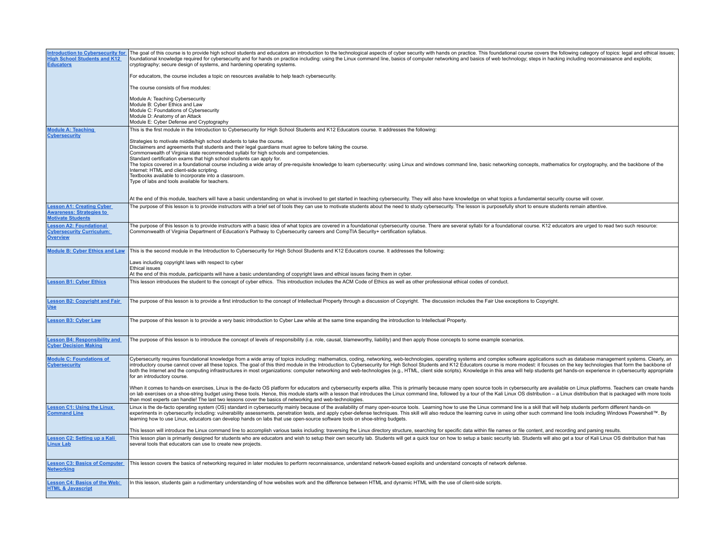| <b>Introduction to Cybersecurity for</b><br><b>High School Students and K12</b><br><b>Educators</b> | The goal of this course is to provide high school students and educators an introduction to the technological aspects of cyber security with hands on practice. This foundational course covers the following category of topi<br>foundational knowledge required for cybersecurity and for hands on practice including: using the Linux command line, basics of computer networking and basics of web technology; steps in hacking including reconnaissance and<br>cryptography; secure design of systems, and hardening operating systems.                                                                                                                                                                                                    |
|-----------------------------------------------------------------------------------------------------|-------------------------------------------------------------------------------------------------------------------------------------------------------------------------------------------------------------------------------------------------------------------------------------------------------------------------------------------------------------------------------------------------------------------------------------------------------------------------------------------------------------------------------------------------------------------------------------------------------------------------------------------------------------------------------------------------------------------------------------------------|
|                                                                                                     | For educators, the course includes a topic on resources available to help teach cybersecurity.                                                                                                                                                                                                                                                                                                                                                                                                                                                                                                                                                                                                                                                  |
|                                                                                                     | The course consists of five modules:                                                                                                                                                                                                                                                                                                                                                                                                                                                                                                                                                                                                                                                                                                            |
|                                                                                                     | Module A: Teaching Cybersecurity<br>Module B: Cyber Ethics and Law<br>Module C: Foundations of Cybersecurity<br>Module D: Anatomy of an Attack<br>Module E: Cyber Defense and Cryptography                                                                                                                                                                                                                                                                                                                                                                                                                                                                                                                                                      |
| <b>Module A: Teaching</b>                                                                           | This is the first module in the Introduction to Cybersecurity for High School Students and K12 Educators course. It addresses the following:                                                                                                                                                                                                                                                                                                                                                                                                                                                                                                                                                                                                    |
| <b>Cybersecurity</b>                                                                                | Strategies to motivate middle/high school students to take the course.<br>Disclaimers and agreements that students and their legal guardians must agree to before taking the course.<br>Commonwealth of Virginia state recommended syllabi for high schools and competencies.<br>Standard certification exams that high school students can apply for.<br>The topics covered in a foundational course including a wide array of pre-requisite knowledge to learn cybersecurity: using Linux and windows command line, basic networking concepts, mathematics for cryptography, and the b<br>Internet: HTML and client-side scripting.<br>Textbooks available to incorporate into a classroom.<br>Type of labs and tools available for teachers. |
|                                                                                                     | At the end of this module, teachers will have a basic understanding on what is involved to get started in teaching cybersecurity. They will also have knowledge on what topics a fundamental security course will cover.                                                                                                                                                                                                                                                                                                                                                                                                                                                                                                                        |
| <b>Lesson A1: Creating Cyber</b><br><b>Awareness: Strategies to</b><br><b>Motivate Students</b>     | The purpose of this lesson is to provide instructors with a brief set of tools they can use to motivate students about the need to study cybersecurity. The lesson is purposefully short to ensure students remain attentive.                                                                                                                                                                                                                                                                                                                                                                                                                                                                                                                   |
| <b>Lesson A2: Foundational</b><br><b>Cybersecurity Curriculum:</b><br><b>Overview</b>               | The purpose of this lesson is to provide instructors with a basic idea of what topics are covered in a foundational cybersecurity course. There are several syllabi for a foundational course. K12 educators are urged to read<br>Commonwealth of Virginia Department of Education's Pathway to Cybersecurity careers and CompTIA Security+ certification syllabus.                                                                                                                                                                                                                                                                                                                                                                             |
| <b>Module B: Cyber Ethics and Law</b>                                                               | This is the second module in the Introduction to Cybersecurity for High School Students and K12 Educators course. It addresses the following:                                                                                                                                                                                                                                                                                                                                                                                                                                                                                                                                                                                                   |
|                                                                                                     | Laws including copyright laws with respect to cyber<br><b>Ethical issues</b><br>At the end of this module, participants will have a basic understanding of copyright laws and ethical issues facing them in cyber.                                                                                                                                                                                                                                                                                                                                                                                                                                                                                                                              |
| <b>Lesson B1: Cyber Ethics</b>                                                                      | This lesson introduces the student to the concept of cyber ethics. This introduction includes the ACM Code of Ethics as well as other professional ethical codes of conduct.                                                                                                                                                                                                                                                                                                                                                                                                                                                                                                                                                                    |
| <b>Lesson B2: Copyright and Fair</b><br><b>Use</b>                                                  | The purpose of this lesson is to provide a first introduction to the concept of Intellectual Property through a discussion of Copyright. The discussion includes the Fair Use exceptions to Copyright.                                                                                                                                                                                                                                                                                                                                                                                                                                                                                                                                          |
| <b>Lesson B3: Cyber Law</b>                                                                         | The purpose of this lesson is to provide a very basic introduction to Cyber Law while at the same time expanding the introduction to Intellectual Property.                                                                                                                                                                                                                                                                                                                                                                                                                                                                                                                                                                                     |
| <b>Lesson B4: Responsibility and</b><br><b>Cyber Decision Making</b>                                | The purpose of this lesson is to introduce the concept of levels of responsibility (i.e. role, causal, blameworthy, liability) and then apply those concepts to some example scenarios.                                                                                                                                                                                                                                                                                                                                                                                                                                                                                                                                                         |
| <b>Module C: Foundations of</b><br><b>Cybersecurity</b>                                             | Cybersecurity requires foundational knowledge from a wide array of topics including: mathematics, coding, networking, web-technologies, operating systems and complex software applications such as database management system<br>introductory course cannot cover all these topics. The goal of this third module in the Introduction to Cybersecurity for High School Students and K12 Educators course is more modest: it focuses on the key technologies tha<br>both the Internet and the computing infrastructures in most organizations: computer networking and web-technologies (e.g., HTML, client side scripts). Knowledge in this area will help students get hands-on experience in cy<br>for an introductory course.               |
|                                                                                                     | When it comes to hands-on exercises, Linux is the de-facto OS platform for educators and cybersecurity experts alike. This is primarily because many open source tools in cybersecurity are available on Linux platforms. Teac<br>on lab exercises on a shoe-string budget using these tools. Hence, this module starts with a lesson that introduces the Linux command line, followed by a tour of the Kali Linux OS distribution - a Linux distribution that i<br>than most experts can handle! The last two lessons cover the basics of networking and web-technologies.                                                                                                                                                                     |
| <b>Lesson C1: Using the Linux</b><br><b>Command Line</b>                                            | Linux is the de-facto operating system (OS) standard in cybersecurity mainly because of the availability of many open-source tools. Learning how to use the Linux command line is a skill that will help students perform diff<br>experiments in cybersecurity including: vulnerability assessments, penetration tests, and apply cyber-defense techniques. This skill will also reduce the learning curve in using other such command line tools including Win<br>learning how to use Linux, educators can develop hands on labs that use open-source software tools on shoe-string budgets.                                                                                                                                                   |
|                                                                                                     | This lesson will introduce the Linux command line to accomplish various tasks including: traversing the Linux directory structure, searching for specific data within file names or file content, and recording and parsing re                                                                                                                                                                                                                                                                                                                                                                                                                                                                                                                  |
| <b>Lesson C2: Setting up a Kali</b><br><b>Linux Lab</b>                                             | This lesson plan is primarily designed for students who are educators and wish to setup their own security lab. Students will get a quick tour on how to setup a basic security lab. Students will also get a tour of Kali Lin<br>several tools that educators can use to create new projects.                                                                                                                                                                                                                                                                                                                                                                                                                                                  |
| <b>Lesson C3: Basics of Computer</b><br><b>Networking</b>                                           | This lesson covers the basics of networking required in later modules to perform reconnaissance, understand network-based exploits and understand concepts of network defense.                                                                                                                                                                                                                                                                                                                                                                                                                                                                                                                                                                  |
| <b>Lesson C4: Basics of the Web:</b><br><b>HTML &amp; Javascript</b>                                | In this lesson, students gain a rudimentary understanding of how websites work and the difference between HTML and dynamic HTML with the use of client-side scripts.                                                                                                                                                                                                                                                                                                                                                                                                                                                                                                                                                                            |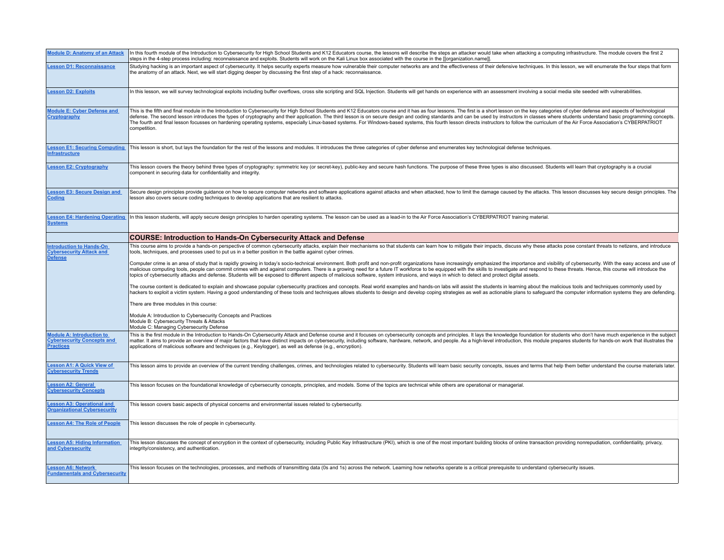| <b>Module D: Anatomy of an Attack</b>                                                     | In this fourth module of the Introduction to Cybersecurity for High School Students and K12 Educators course, the lessons will describe the steps an attacker would take when attacking a computing infrastructure. The module<br>steps in the 4-step process including: reconnaissance and exploits. Students will work on the Kali Linux box associated with the course in the [[organization.name]]                                                                                                                                                                                                                                                                                                                                                                                                        |
|-------------------------------------------------------------------------------------------|---------------------------------------------------------------------------------------------------------------------------------------------------------------------------------------------------------------------------------------------------------------------------------------------------------------------------------------------------------------------------------------------------------------------------------------------------------------------------------------------------------------------------------------------------------------------------------------------------------------------------------------------------------------------------------------------------------------------------------------------------------------------------------------------------------------|
| <b>Lesson D1: Reconnaissance</b>                                                          | Studying hacking is an important aspect of cybersecurity. It helps security experts measure how vulnerable their computer networks are and the effectiveness of their defensive techniques. In this lesson, we will enumerate<br>the anatomy of an attack. Next, we will start digging deeper by discussing the first step of a hack: reconnaissance.                                                                                                                                                                                                                                                                                                                                                                                                                                                         |
| <b>Lesson D2: Exploits</b>                                                                | In this lesson, we will survey technological exploits including buffer overflows, cross site scripting and SQL Injection. Students will get hands on experience with an assessment involving a social media site seeded with v                                                                                                                                                                                                                                                                                                                                                                                                                                                                                                                                                                                |
| <b>Module E: Cyber Defense and</b><br>Cryptography                                        | This is the fifth and final module in the Introduction to Cybersecurity for High School Students and K12 Educators course and it has as four lessons. The first is a short lesson on the key categories of cyber defense and a<br>defense. The second lesson introduces the types of cryptography and their application. The third lesson is on secure design and coding standards and can be used by instructors in classes where students understand basic pro<br>The fourth and final lesson focusses on hardening operating systems, especially Linux-based systems. For Windows-based systems, this fourth lesson directs instructors to follow the curriculum of the Air Force Association's<br>competition.                                                                                            |
| <b>Lesson E1: Securing Computing</b><br><b>Infrastructure</b>                             | This lesson is short, but lays the foundation for the rest of the lessons and modules. It introduces the three categories of cyber defense and enumerates key technological defense techniques.                                                                                                                                                                                                                                                                                                                                                                                                                                                                                                                                                                                                               |
| <b>Lesson E2: Cryptography</b>                                                            | This lesson covers the theory behind three types of cryptography: symmetric key (or secret-key), public-key and secure hash functions. The purpose of these three types is also discussed. Students will learn that cryptograp<br>component in securing data for confidentiality and integrity.                                                                                                                                                                                                                                                                                                                                                                                                                                                                                                               |
| <b>Lesson E3: Secure Design and</b><br>Coding                                             | Secure design principles provide quidance on how to secure computer networks and software applications against attacks and when attacked, how to limit the damage caused by the attacks. This lesson discusses key secure desi<br>lesson also covers secure coding techniques to develop applications that are resilient to attacks.                                                                                                                                                                                                                                                                                                                                                                                                                                                                          |
| <b>Lesson E4: Hardening Operating</b><br><b>Systems</b>                                   | In this lesson students, will apply secure design principles to harden operating systems. The lesson can be used as a lead-in to the Air Force Association's CYBERPATRIOT training material.                                                                                                                                                                                                                                                                                                                                                                                                                                                                                                                                                                                                                  |
|                                                                                           | <b>COURSE: Introduction to Hands-On Cybersecurity Attack and Defense</b>                                                                                                                                                                                                                                                                                                                                                                                                                                                                                                                                                                                                                                                                                                                                      |
| <b>Introduction to Hands-On</b><br><b>Cybersecurity Attack and</b><br><b>Defense</b>      | This course aims to provide a hands-on perspective of common cybersecurity attacks, explain their mechanisms so that students can learn how to mitigate their impacts, discuss why these attacks pose constant threats to neti<br>tools, techniques, and processes used to put us in a better position in the battle against cyber crimes.<br>Computer crime is an area of study that is rapidly growing in today's socio-technical environment. Both profit and non-profit organizations have increasingly emphasized the importance and visibility of cybersecurity. With<br>malicious computing tools, people can commit crimes with and against computers. There is a growing need for a future IT workforce to be equipped with the skills to investigate and respond to these threats. Hence, this cour |
|                                                                                           | topics of cybersecurity attacks and defense. Students will be exposed to different aspects of malicious software, system intrusions, and ways in which to detect and protect digital assets.<br>The course content is dedicated to explain and showcase popular cybersecurity practices and concepts. Real world examples and hands-on labs will assist the students in learning about the malicious tools and techniques comm<br>hackers to exploit a victim system. Having a good understanding of these tools and techniques allows students to design and develop coping strategies as well as actionable plans to safeguard the computer information system<br>There are three modules in this course:                                                                                                   |
|                                                                                           | Module A: Introduction to Cybersecurity Concepts and Practices<br>Module B: Cybersecurity Threats & Attacks<br>Module C: Managing Cybersecurity Defense                                                                                                                                                                                                                                                                                                                                                                                                                                                                                                                                                                                                                                                       |
| <b>Module A: Introduction to</b><br><b>Cybersecurity Concepts and</b><br><b>Practices</b> | This is the first module in the Introduction to Hands-On Cybersecurity Attack and Defense course and it focuses on cybersecurity concepts and principles. It lays the knowledge foundation for students who don't have much ex<br>matter. It aims to provide an overview of major factors that have distinct impacts on cybersecurity, including software, hardware, network, and people. As a high-level introduction, this module prepares students for hands-<br>applications of malicious software and techniques (e.g., Keylogger), as well as defense (e.g., encryption).                                                                                                                                                                                                                               |
| <b>Lesson A1: A Quick View of</b><br><b>Cybersecurity Trends</b>                          | This lesson aims to provide an overview of the current trending challenges, crimes, and technologies related to cybersecurity. Students will learn basic security concepts, issues and terms that help them better understand                                                                                                                                                                                                                                                                                                                                                                                                                                                                                                                                                                                 |
| <b>Lesson A2: General</b><br><b>Cybersecurity Concepts</b>                                | This lesson focuses on the foundational knowledge of cybersecurity concepts, principles, and models. Some of the topics are technical while others are operational or managerial.                                                                                                                                                                                                                                                                                                                                                                                                                                                                                                                                                                                                                             |
| <b>Lesson A3: Operational and</b><br><b>Organizational Cybersecurity</b>                  | This lesson covers basic aspects of physical concerns and environmental issues related to cybersecurity.                                                                                                                                                                                                                                                                                                                                                                                                                                                                                                                                                                                                                                                                                                      |
| <b>Lesson A4: The Role of People</b>                                                      | This lesson discusses the role of people in cybersecurity.                                                                                                                                                                                                                                                                                                                                                                                                                                                                                                                                                                                                                                                                                                                                                    |
| <b>Lesson A5: Hiding Information</b><br>and Cybersecurity                                 | This lesson discusses the concept of encryption in the context of cybersecurity, including Public Key Infrastructure (PKI), which is one of the most important building blocks of online transaction providing nonrepudiation,<br>integrity/consistency, and authentication.                                                                                                                                                                                                                                                                                                                                                                                                                                                                                                                                  |
| <b>Lesson A6: Network</b><br><b>Fundamentals and Cybersecurity</b>                        | This lesson focuses on the technologies, processes, and methods of transmitting data (0s and 1s) across the network. Learning how networks operate is a critical prerequisite to understand cybersecurity issues.                                                                                                                                                                                                                                                                                                                                                                                                                                                                                                                                                                                             |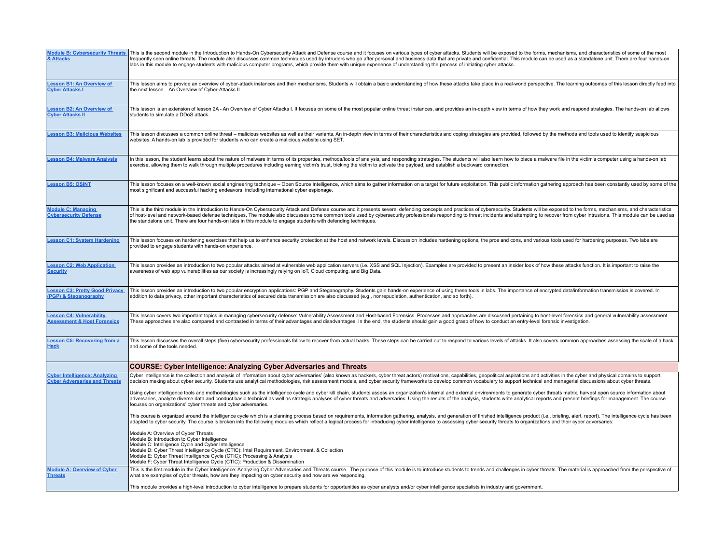| <b>Module B: Cybersecurity Threats</b><br>& Attacks                          | This is the second module in the Introduction to Hands-On Cybersecurity Attack and Defense course and it focuses on various types of cyber attacks. Students will be exposed to the forms, mechanisms, and characteristics of<br>frequently seen online threats. The module also discusses common techniques used by intruders who go after personal and business data that are private and confidential. This module can be used as a standalone unit. There a<br>labs in this module to engage students with malicious computer programs, which provide them with unique experience of understanding the process of initiating cyber attacks. |
|------------------------------------------------------------------------------|-------------------------------------------------------------------------------------------------------------------------------------------------------------------------------------------------------------------------------------------------------------------------------------------------------------------------------------------------------------------------------------------------------------------------------------------------------------------------------------------------------------------------------------------------------------------------------------------------------------------------------------------------|
| <b>Lesson B1: An Overview of</b><br><b>Cyber Attacks I</b>                   | This lesson aims to provide an overview of cyber-attack instances and their mechanisms. Students will obtain a basic understanding of how these attacks take place in a real-world perspective. The learning outcomes of this<br>the next lesson - An Overview of Cyber-Attacks II.                                                                                                                                                                                                                                                                                                                                                             |
| <b>Lesson B2: An Overview of</b><br><b>Cyber Attacks II</b>                  | This lesson is an extension of lesson 2A - An Overview of Cyber Attacks I. It focuses on some of the most popular online threat instances, and provides an in-depth view in terms of how they work and respond strategies. The<br>students to simulate a DDoS attack.                                                                                                                                                                                                                                                                                                                                                                           |
| <b>Lesson B3: Malicious Websites</b>                                         | This lesson discusses a common online threat - malicious websites as well as their variants. An in-depth view in terms of their characteristics and coping strategies are provided, followed by the methods and tools used to<br>websites. A hands-on lab is provided for students who can create a malicious website using SET.                                                                                                                                                                                                                                                                                                                |
| <b>Lesson B4: Malware Analysis</b>                                           | In this lesson, the student learns about the nature of malware in terms of its properties, methods/tools of analysis, and responding strategies. The students will also learn how to place a malware file in the victim's comp<br>exercise, allowing them to walk through multiple procedures including earning victim's trust, tricking the victim to activate the payload, and establish a backward connection.                                                                                                                                                                                                                               |
| <b>Lesson B5: OSINT</b>                                                      | This lesson focuses on a well-known social engineering technique - Open Source Intelligence, which aims to gather information on a target for future exploitation. This public information gathering approach has been constan<br>most significant and successful hacking endeavors, including international cyber espionage.                                                                                                                                                                                                                                                                                                                   |
| <b>Module C: Managing</b><br><b>Cybersecurity Defense</b>                    | This is the third module in the Introduction to Hands-On Cybersecurity Attack and Defense course and it presents several defending concepts and practices of cybersecurity. Students will be exposed to the forms, mechanisms,<br>of host-level and network-based defense techniques. The module also discusses some common tools used by cybersecurity professionals responding to threat incidents and attempting to recover from cyber intrusions. This modul<br>the standalone unit. There are four hands-on labs in this module to engage students with defending techniques.                                                              |
| <b>Lesson C1: System Hardening</b>                                           | This lesson focuses on hardening exercises that help us to enhance security protection at the host and network levels. Discussion includes hardening options, the pros and cons, and various tools used for hardening purposes<br>provided to engage students with hands-on experience.                                                                                                                                                                                                                                                                                                                                                         |
| <b>Lesson C2: Web Application</b><br><b>Security</b>                         | This lesson provides an introduction to two popular attacks aimed at vulnerable web application servers (i.e. XSS and SQL Injection). Examples are provided to present an insider look of how these attacks function. It is im<br>awareness of web app vulnerabilities as our society is increasingly relying on IoT, Cloud computing, and Big Data.                                                                                                                                                                                                                                                                                            |
| <b>Lesson C3: Pretty Good Privacy</b><br>(PGP) & Steganography               | This lesson provides an introduction to two popular encryption applications: PGP and Steganography. Students gain hands-on experience of using these tools in labs. The importance of encrypted data/information transmission<br>addition to data privacy, other important characteristics of secured data transmission are also discussed (e.g., nonrepudiation, authentication, and so forth).                                                                                                                                                                                                                                                |
| <b>Lesson C4: Vulnerability</b><br><b>Assessment &amp; Host Forensics</b>    | This lesson covers two important topics in managing cybersecurity defense: Vulnerability Assessment and Host-based Forensics. Processes and approaches are discussed pertaining to host-level forensics and general vulnerabil<br>These approaches are also compared and contrasted in terms of their advantages and disadvantages. In the end, the students should gain a good grasp of how to conduct an entry-level forensic investigation.                                                                                                                                                                                                  |
| <b>Lesson C5: Recovering from a</b><br><b>Hack</b>                           | This lesson discusses the overall steps (five) cybersecurity professionals follow to recover from actual hacks. These steps can be carried out to respond to various levels of attacks. It also covers common approaches asses<br>and some of the tools needed.                                                                                                                                                                                                                                                                                                                                                                                 |
|                                                                              | COURSE: Cyber Intelligence: Analyzing Cyber Adversaries and Threats                                                                                                                                                                                                                                                                                                                                                                                                                                                                                                                                                                             |
| <b>Cyber Intelligence: Analyzing</b><br><b>Cyber Adversaries and Threats</b> | Cyber intelligence is the collection and analysis of information about cyber adversaries' (also known as hackers, cyber threat actors) motivations, capabilities, geopolitical aspirations and activities in the cyber and phy<br>decision making about cyber security. Students use analytical methodologies, risk assessment models, and cyber security frameworks to develop common vocabulary to support technical and managerial discussions about cyber th                                                                                                                                                                                |
|                                                                              | Using cyber intelligence tools and methodologies such as the intelligence cycle and cyber kill chain, students assess an organization's internal and external environments to generate cyber threats matrix, harvest open sour<br>adversaries, analyze diverse data and conduct basic technical as well as strategic analyses of cyber threats and adversaries. Using the results of the analysis, students write analytical reports and present briefings for m<br>focuses on organizations' cyber threats and cyber adversaries.                                                                                                              |
|                                                                              | This course is organized around the intelligence cycle which is a planning process based on requirements, information gathering, analysis, and generation of finished intelligence product (i.e., briefing, alert, report). Th<br>adapted to cyber security. The course is broken into the following modules which reflect a logical process for introducing cyber intelligence to assessing cyber security threats to organizations and their cyber adversaries                                                                                                                                                                                |
|                                                                              | Module A: Overview of Cyber Threats<br>Module B: Introduction to Cyber Intelligence<br>Module C: Intelligence Cycle and Cyber Intelligence<br>Module D: Cyber Threat Intelligence Cycle (CTIC): Intel Requirement, Environment, & Collection                                                                                                                                                                                                                                                                                                                                                                                                    |
|                                                                              | Module E: Cyber Threat Intelligence Cycle (CTIC): Processing & Analysis<br>Module F: Cyber Threat Intelligence Cycle (CTIC): Production & Dissemination                                                                                                                                                                                                                                                                                                                                                                                                                                                                                         |
| <b>Module A: Overview of Cyber</b><br><b>Threats</b>                         | This is the first module in the Cyber Intelligence: Analyzing Cyber Adversaries and Threats course. The purpose of this module is to introduce students to trends and challenges in cyber threats. The material is approached<br>what are examples of cyber threats, how are they impacting on cyber security and how are we responding.                                                                                                                                                                                                                                                                                                        |
|                                                                              | This module provides a high-level introduction to cyber intelligence to prepare students for opportunities as cyber analysts and/or cyber intelligence specialists in industry and government.                                                                                                                                                                                                                                                                                                                                                                                                                                                  |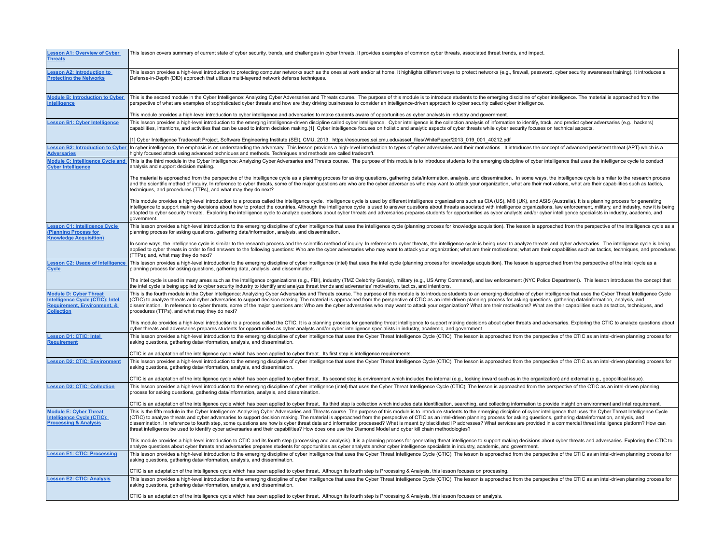| <b>Lesson A1: Overview of Cyber</b>                                        | This lesson covers summary of current state of cyber security, trends, and challenges in cyber threats. It provides examples of common cyber threats, associated threat trends, and impact.                                                                                                                                                                                                                                                                      |
|----------------------------------------------------------------------------|------------------------------------------------------------------------------------------------------------------------------------------------------------------------------------------------------------------------------------------------------------------------------------------------------------------------------------------------------------------------------------------------------------------------------------------------------------------|
| <b>Threats</b>                                                             |                                                                                                                                                                                                                                                                                                                                                                                                                                                                  |
| <b>Lesson A2: Introduction to</b>                                          | This lesson provides a high-level introduction to protecting computer networks such as the ones at work and/or at home. It highlights different ways to protect networks (e.g., firewall, password, cyber security awareness t                                                                                                                                                                                                                                   |
| <b>Protecting the Networks</b>                                             | Defense-in-Depth (DID) approach that utilizes multi-layered network defense techniques.                                                                                                                                                                                                                                                                                                                                                                          |
|                                                                            |                                                                                                                                                                                                                                                                                                                                                                                                                                                                  |
| <b>Module B: Introduction to Cyber</b>                                     | This is the second module in the Cyber Intelligence: Analyzing Cyber Adversaries and Threats course. The purpose of this module is to introduce students to the emerging discipline of cyber intelligence. The material is app                                                                                                                                                                                                                                   |
| <b>Intelligence</b>                                                        | perspective of what are examples of sophisticated cyber threats and how are they driving businesses to consider an intelligence-driven approach to cyber security called cyber intelligence.                                                                                                                                                                                                                                                                     |
|                                                                            | This module provides a high-level introduction to cyber intelligence and adversaries to make students aware of opportunities as cyber analysts in industry and government.                                                                                                                                                                                                                                                                                       |
| <b>Lesson B1: Cyber Intelligence</b>                                       | This lesson provides a high-level introduction to the emerging intelligence-driven discipline called cyber intelligence. Cyber intelligence is the collection analysis of information to identify, track, and predict cyber ad                                                                                                                                                                                                                                   |
|                                                                            | capabilities, intentions, and activities that can be used to inform decision making.[1] Cyber intelligence focuses on holistic and analytic aspects of cyber threats while cyber security focuses on technical aspects.                                                                                                                                                                                                                                          |
|                                                                            | [1] Cyber Intelligence Tradecraft Project. Software Engineering Institute (SEI), CMU, 2013. https://resources.sei.cmu.edu/asset files/WhitePaper/2013 019 001 40212.pdf                                                                                                                                                                                                                                                                                          |
| <u>Adversaries</u>                                                         | Lesson B2: Introduction to Cyber In cyber intelligence, the emphasis is on understanding the adversary. This lesson provides a high-level introduction to types of cyber adversaries and their motivations. It introduces the<br>highly focused attack using advanced techniques and methods. Techniques and methods are called tradecraft.                                                                                                                      |
| <b>Module C: Intelligence Cycle and</b>                                    | This is the third module in the Cyber Intelligence: Analyzing Cyber Adversaries and Threats course. The purpose of this module is to introduce students to the emerging discipline of cyber intelligence that uses the intelli                                                                                                                                                                                                                                   |
| <b>Cyber Intelligence</b>                                                  | analysis and support decision making.                                                                                                                                                                                                                                                                                                                                                                                                                            |
|                                                                            | The material is approached from the perspective of the intelligence cycle as a planning process for asking questions, gathering data/information, analysis, and dissemination. In some ways, the intelligence cycle is similar                                                                                                                                                                                                                                   |
|                                                                            | and the scientific method of inquiry. In reference to cyber threats, some of the major questions are who are the cyber adversaries who may want to attack your organization, what are their motivations, what are their capabi                                                                                                                                                                                                                                   |
|                                                                            | techniques, and procedures (TTPs), and what may they do next?                                                                                                                                                                                                                                                                                                                                                                                                    |
|                                                                            | This module provides a high-level introduction to a process called the intelligence cycle. Intelligence cycle is used by different intelligence organizations such as CIA (US), MI6 (UK), and ASIS (Australia). It is a planni                                                                                                                                                                                                                                   |
|                                                                            | intelligence to support making decisions about how to protect the countries. Although the intelligence cycle is used to answer questions about threats associated with intelligence organizations, law enforcement, military,<br>adapted to cyber security threats. Exploring the intelligence cycle to analyze questions about cyber threats and adversaries prepares students for opportunities as cyber analysts and/or cyber intelligence specialists in in  |
|                                                                            | government.                                                                                                                                                                                                                                                                                                                                                                                                                                                      |
| <b>Lesson C1: Intelligence Cycle</b>                                       | This lesson provides a high-level introduction to the emerging discipline of cyber intelligence that uses the intelligence cycle (planning process for knowledge acquisition). The lesson is approached from the perspective o                                                                                                                                                                                                                                   |
| (Planning Process for<br><b>Knowledge Acquisition)</b>                     | planning process for asking questions, gathering data/information, analysis, and dissemination.                                                                                                                                                                                                                                                                                                                                                                  |
|                                                                            | In some ways, the intelligence cycle is similar to the research process and the scientific method of inquiry. In reference to cyber threats, the intelligence cycle is being used to analyze threats and cyber adversaries. Th                                                                                                                                                                                                                                   |
|                                                                            | applied to cyber threats in order to find answers to the following questions: Who are the cyber adversaries who may want to attack your organization; what are their motivations; what are their capabilities such as tactics,<br>(TTPs); and, what may they do next?                                                                                                                                                                                            |
| <b>Lesson C2: Usage of Intelligence</b>                                    | This lesson provides a high-level introduction to the emerging discipline of cyber intelligence (intel) that uses the intel cycle (planning process for knowledge acquisition). The lesson is approached from the perspective                                                                                                                                                                                                                                    |
| <b>Cycle</b>                                                               | planning process for asking questions, gathering data, analysis, and dissemination.                                                                                                                                                                                                                                                                                                                                                                              |
|                                                                            | The intel cycle is used in many areas such as the intelligence organizations (e.g., FBI), industry (TMZ Celebrity Gossip), military (e.g., US Army Command), and law enforcement (NYC Police Department). This lesson introduc                                                                                                                                                                                                                                   |
|                                                                            | the intel cycle is being applied to cyber security industry to identify and analyze threat trends and adversaries' motivations, tactics, and intentions.                                                                                                                                                                                                                                                                                                         |
| <b>Module D: Cyber Threat</b>                                              | This is the fourth module in the Cyber Intelligence: Analyzing Cyber Adversaries and Threats course. The purpose of this module is to introduce students to an emerging discipline of cyber intelligence that uses the Cyber T                                                                                                                                                                                                                                   |
| Intelligence Cycle (CTIC): Intel<br><b>Requirement, Environment, &amp;</b> | (CTIC) to analyze threats and cyber adversaries to support decision making. The material is approached from the perspective of CTIC as an intel-driven planning process for asking questions, gathering data/information, anal<br>dissemination. In reference to cyber threats, some of the major questions are: Who are the cyber adversaries who may want to attack your organization? What are their motivations? What are their capabilities such as tactics |
| <b>Collection</b>                                                          | procedures (TTPs), and what may they do next?                                                                                                                                                                                                                                                                                                                                                                                                                    |
|                                                                            | This module provides a high-level introduction to a process called the CTIC. It is a planning process for generating threat intelligence to support making decisions about cyber threats and adversaries. Exploring the CTIC t                                                                                                                                                                                                                                   |
|                                                                            | cyber threats and adversaries prepares students for opportunities as cyber analysts and/or cyber intelligence specialists in industry, academic, and government                                                                                                                                                                                                                                                                                                  |
| <b>Lesson D1: CTIC: Intel</b><br><b>Requirement</b>                        | This lesson provides a high-level introduction to the emerging discipline of cyber intelligence that uses the Cyber Threat Intelligence Cycle (CTIC). The lesson is approached from the perspective of the CTIC as an intel-dr<br>asking questions, gathering data/information, analysis, and dissemination.                                                                                                                                                     |
|                                                                            |                                                                                                                                                                                                                                                                                                                                                                                                                                                                  |
|                                                                            | CTIC is an adaptation of the intelligence cycle which has been applied to cyber threat. Its first step is intelligence requirements.                                                                                                                                                                                                                                                                                                                             |
| <b>Lesson D2: CTIC: Environment</b>                                        | This lesson provides a high-level introduction to the emerging discipline of cyber intelligence that uses the Cyber Threat Intelligence Cycle (CTIC). The lesson is approached from the perspective of the CTIC as an intel-dr<br>asking questions, gathering data/information, analysis, and dissemination.                                                                                                                                                     |
|                                                                            | CTIC is an adaptation of the intelligence cycle which has been applied to cyber threat. Its second step is environment which includes the internal (e.g., looking inward such as in the organization) and external (e.g., geop                                                                                                                                                                                                                                   |
| <b>Lesson D3: CTIC: Collection</b>                                         | This lesson provides a high-level introduction to the emerging discipline of cyber intelligence (intel) that uses the Cyber Threat Intelligence Cycle (CTIC). The lesson is approached from the perspective of the CTIC as an                                                                                                                                                                                                                                    |
|                                                                            | process for asking questions, gathering data/information, analysis, and dissemination.                                                                                                                                                                                                                                                                                                                                                                           |
|                                                                            | CTIC is an adaptation of the intelligence cycle which has been applied to cyber threat. Its third step is collection which includes data identification, searching, and collecting information to provide insight on environme                                                                                                                                                                                                                                   |
| <b>Module E: Cyber Threat</b>                                              | This is the fifth module in the Cyber Intelligence: Analyzing Cyber Adversaries and Threats course. The purpose of this module is to introduce students to the emerging discipline of cyber intelligence that uses the Cyber T                                                                                                                                                                                                                                   |
| Intelligence Cycle (CTIC):<br><b>Processing &amp; Analysis</b>             | (CTIC) to analyze threats and cyber adversaries to support decision making. The material is approached from the perspective of CTIC as an intel-driven planning process for asking questions, gathering data/information, anal<br>dissemination. In reference to fourth step, some questions are how is cyber threat data and information processed? What is meant by blacklisted IP addresses? What services are provided in a commercial threat intelligence p |
|                                                                            | threat intelligence be used to identify cyber adversaries and their capabilities? How does one use the Diamond Model and cyber kill chain methodologies?                                                                                                                                                                                                                                                                                                         |
|                                                                            | This module provides a high-level introduction to CTIC and its fourth step (processing and analysis). It is a planning process for generating threat intelligence to support making decisions about cyber threats and adversar                                                                                                                                                                                                                                   |
|                                                                            | analyze questions about cyber threats and adversaries prepares students for opportunities as cyber analysts and/or cyber intelligence specialists in industry, academic, and government.                                                                                                                                                                                                                                                                         |
| <b>Lesson E1: CTIC: Processing</b>                                         | This lesson provides a high-level introduction to the emerging discipline of cyber intelligence that uses the Cyber Threat Intelligence Cycle (CTIC). The lesson is approached from the perspective of the CTIC as an intel-dr                                                                                                                                                                                                                                   |
|                                                                            | asking questions, gathering data/information, analysis, and dissemination.                                                                                                                                                                                                                                                                                                                                                                                       |
|                                                                            | CTIC is an adaptation of the intelligence cycle which has been applied to cyber threat. Although its fourth step is Processing & Analysis, this lesson focuses on processing.                                                                                                                                                                                                                                                                                    |
| <b>Lesson E2: CTIC: Analysis</b>                                           | This lesson provides a high-level introduction to the emerging discipline of cyber intelligence that uses the Cyber Threat Intelligence Cycle (CTIC). The lesson is approached from the perspective of the CTIC as an intel-dr<br>asking questions, gathering data/information, analysis, and dissemination.                                                                                                                                                     |
|                                                                            |                                                                                                                                                                                                                                                                                                                                                                                                                                                                  |
|                                                                            | CTIC is an adaptation of the intelligence cycle which has been applied to cyber threat. Although its fourth step is Processing & Analysis, this lesson focuses on analysis.                                                                                                                                                                                                                                                                                      |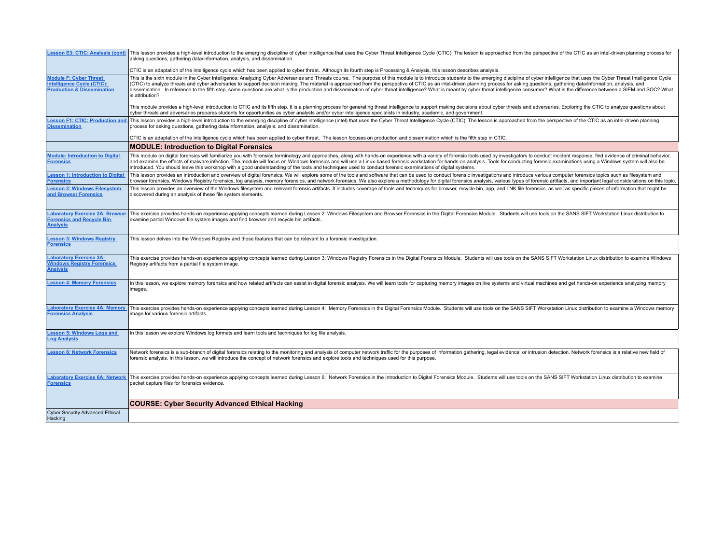| <b>Lesson E3: CTIC: Analysis (cont)</b>                                                              | This lesson provides a high-level introduction to the emerging discipline of cyber intelligence that uses the Cyber Threat Intelligence Cycle (CTIC). The lesson is approached from the perspective of the CTIC as an intel-dr<br>asking questions, gathering data/information, analysis, and dissemination.                                                                                                                                                                                                                                                                                                                                                                                                          |
|------------------------------------------------------------------------------------------------------|-----------------------------------------------------------------------------------------------------------------------------------------------------------------------------------------------------------------------------------------------------------------------------------------------------------------------------------------------------------------------------------------------------------------------------------------------------------------------------------------------------------------------------------------------------------------------------------------------------------------------------------------------------------------------------------------------------------------------|
|                                                                                                      | CTIC is an adaptation of the intelligence cycle which has been applied to cyber threat. Although its fourth step is Processing & Analysis, this lesson describes analysis.                                                                                                                                                                                                                                                                                                                                                                                                                                                                                                                                            |
| <b>Module F: Cyber Threat</b><br>Intelligence Cycle (CTIC):<br><b>Production &amp; Dissemination</b> | This is the sixth module in the Cyber Intelligence: Analyzing Cyber Adversaries and Threats course. The purpose of this module is to introduce students to the emerging discipline of cyber intelligence that uses the Cyber T<br>(CTIC) to analyze threats and cyber adversaries to support decision making. The material is approached from the perspective of CTIC as an intel-driven planning process for asking questions, gathering data/information, anal<br>dissemination. In reference to the fifth step, some questions are what is the production and dissemination of cyber threat intelligence? What is meant by cyber threat intelligence consumer? What is the difference between a<br>is attribution? |
|                                                                                                      | This module provides a high-level introduction to CTIC and its fifth step. It is a planning process for generating threat intelligence to support making decisions about cyber threats and adversaries. Exploring the CTIC to<br>cyber threats and adversaries prepares students for opportunities as cyber analysts and/or cyber intelligence specialists in industry, academic, and government.                                                                                                                                                                                                                                                                                                                     |
| <b>Lesson F1: CTIC: Production and</b><br><b>Dissemination</b>                                       | This lesson provides a high-level introduction to the emerging discipline of cyber intelligence (intel) that uses the Cyber Threat Intelligence Cycle (CTIC). The lesson is approached from the perspective of the CTIC as an<br>process for asking questions, gathering data/information, analysis, and dissemination.                                                                                                                                                                                                                                                                                                                                                                                               |
|                                                                                                      | CTIC is an adaptation of the intelligence cycle which has been applied to cyber threat. The lesson focuses on production and dissemination which is the fifth step in CTIC.                                                                                                                                                                                                                                                                                                                                                                                                                                                                                                                                           |
|                                                                                                      | <b>MODULE: Introduction to Digital Forensics</b>                                                                                                                                                                                                                                                                                                                                                                                                                                                                                                                                                                                                                                                                      |
| <b>Module: Introduction to Digital</b><br><b>Forensics</b>                                           | This module on digital forensics will familiarize you with forensics terminology and approaches, along with hands-on experience with a variety of forensic tools used by investigators to conduct incident response, find evid<br>and examine the effects of malware infection. The module will focus on Windows forensics and will use a Linux-based forensic workstation for hands-on analysis. Tools for conducting forensic examinations using a Windows sys<br>introduced. You should leave this workshop with a good understanding of the tools and techniques used to conduct forensic examinations of digital systems.                                                                                        |
| <b>Lesson 1: Introduction to Digital</b><br>Forensics                                                | This lesson provides an introduction and overview of digital forensics. We will explore some of the tools and software that can be used to conduct forensic investigations and introduce various computer forensics topics suc<br>browser forensics, Windows Registry forensics, log analysis, memory forensics, and network forensics. We also explore a methodology for digital forensics analysis, various types of forensic artifacts, and important legal c                                                                                                                                                                                                                                                      |
| <b>Lesson 2: Windows Filesystem</b><br>and Browser Forensics                                         | This lesson provides an overview of the Windows filesystem and relevant forensic artifacts. It includes coverage of tools and techniques for browser, recycle bin, app, and LNK file forensics, as well as specific pieces of<br>discovered during an analysis of these file system elements.                                                                                                                                                                                                                                                                                                                                                                                                                         |
| <b>Laboratory Exercise 2A: Browser</b><br><b>Forensics and Recycle Bin</b><br><b>Analysis</b>        | This exercise provides hands-on experience applying concepts learned during Lesson 2: Windows Filesystem and Browser Forensics in the Digital Forensics Module. Students will use tools on the SANS SIFT Workstation Linux dis<br>examine partial Windows file system images and find browser and recycle bin artifacts.                                                                                                                                                                                                                                                                                                                                                                                              |
|                                                                                                      |                                                                                                                                                                                                                                                                                                                                                                                                                                                                                                                                                                                                                                                                                                                       |
| <b>Lesson 3: Windows Registry</b><br><b>Forensics</b>                                                | This lesson delves into the Windows Registry and those features that can be relevant to a forensic investigation.                                                                                                                                                                                                                                                                                                                                                                                                                                                                                                                                                                                                     |
| <b>Laboratory Exercise 3A:</b><br><b>Windows Registry Forensics</b><br><b>Analysis</b>               | This exercise provides hands-on experience applying concepts learned during Lesson 3: Windows Registry Forensics in the Digital Forensics Module. Students will use tools on the SANS SIFT Workstation Linux distribution to e<br>Registry artifacts from a partial file system image.                                                                                                                                                                                                                                                                                                                                                                                                                                |
| <b>Lesson 4: Memory Forensics</b>                                                                    | In this lesson, we explore memory forensics and how related artifacts can assist in digital forensic analysis. We will learn tools for capturing memory images on live systems and virtual machines and get hands-on experienc<br>images.                                                                                                                                                                                                                                                                                                                                                                                                                                                                             |
| <b>Laboratory Exercise 4A: Memory</b><br><b>Forensics Analysis</b>                                   | This exercise provides hands-on experience applying concepts learned during Lesson 4: Memory Forensics in the Digital Forensics Module. Students will use tools on the SANS SIFT Workstation Linux distribution to examine a W<br>image for various forensic artifacts.                                                                                                                                                                                                                                                                                                                                                                                                                                               |
| <b>Lesson 5: Windows Logs and</b><br><b>Log Analysis</b>                                             | In this lesson we explore Windows log formats and learn tools and techniques for log file analysis.                                                                                                                                                                                                                                                                                                                                                                                                                                                                                                                                                                                                                   |
| <b>Lesson 6: Network Forensics</b>                                                                   | Network forensics is a sub-branch of digital forensics relating to the monitoring and analysis of computer network traffic for the purposes of information gathering, legal evidence, or intrusion detection. Network forensic<br>forensic analysis. In this lesson, we will introduce the concept of network forensics and explore tools and techniques used for this purpose.                                                                                                                                                                                                                                                                                                                                       |
| <b>Forensics</b>                                                                                     | Laboratory Exercise 6A: Network   This exercise provides hands-on experience applying concepts learned during Lesson 6: Network Forensics in the Introduction to Digital Forensics Module. Students will use tools on the SANS<br>packet capture files for forensics evidence.                                                                                                                                                                                                                                                                                                                                                                                                                                        |
|                                                                                                      | <b>COURSE: Cyber Security Advanced Ethical Hacking</b>                                                                                                                                                                                                                                                                                                                                                                                                                                                                                                                                                                                                                                                                |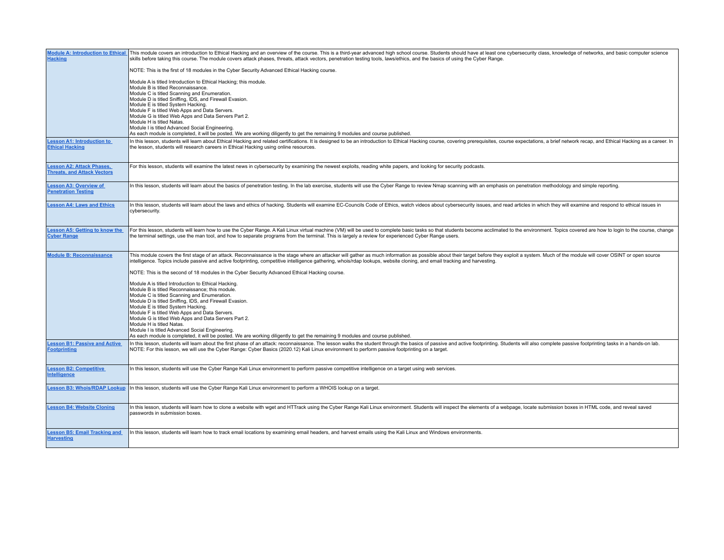| <b>Module A: Introduction to Ethical</b><br><b>Hacking</b>             | This module covers an introduction to Ethical Hacking and an overview of the course. This is a third-year advanced high school course. Students should have at least one cybersecurity class, knowledge of networks, and basic<br>skills before taking this course. The module covers attack phases, threats, attack vectors, penetration testing tools, laws/ethics, and the basics of using the Cyber Range.                                                                                                                                                                     |
|------------------------------------------------------------------------|------------------------------------------------------------------------------------------------------------------------------------------------------------------------------------------------------------------------------------------------------------------------------------------------------------------------------------------------------------------------------------------------------------------------------------------------------------------------------------------------------------------------------------------------------------------------------------|
|                                                                        | NOTE: This is the first of 18 modules in the Cyber Security Advanced Ethical Hacking course.                                                                                                                                                                                                                                                                                                                                                                                                                                                                                       |
|                                                                        | Module A is titled Introduction to Ethical Hacking; this module.<br>Module B is titled Reconnaissance.<br>Module C is titled Scanning and Enumeration.<br>Module D is titled Sniffing, IDS, and Firewall Evasion.<br>Module E is titled System Hacking.<br>Module F is titled Web Apps and Data Servers.<br>Module G is titled Web Apps and Data Servers Part 2.<br>Module H is titled Natas.<br>Module I is titled Advanced Social Engineering.<br>As each module is completed, it will be posted. We are working diligently to get the remaining 9 modules and course published. |
| <b>Lesson A1: Introduction to</b><br><b>Ethical Hacking</b>            | In this lesson, students will learn about Ethical Hacking and related certifications. It is designed to be an introduction to Ethical Hacking course, covering prerequisites, course expectations, a brief network recap, and<br>the lesson, students will research careers in Ethical Hacking using online resources.                                                                                                                                                                                                                                                             |
| <b>Lesson A2: Attack Phases,</b><br><b>Threats, and Attack Vectors</b> | For this lesson, students will examine the latest news in cybersecurity by examining the newest exploits, reading white papers, and looking for security podcasts.                                                                                                                                                                                                                                                                                                                                                                                                                 |
| <b>Lesson A3: Overview of</b><br><b>Penetration Testing</b>            | In this lesson, students will learn about the basics of penetration testing. In the lab exercise, students will use the Cyber Range to review Nmap scanning with an emphasis on penetration methodology and simple reporting.                                                                                                                                                                                                                                                                                                                                                      |
| <b>Lesson A4: Laws and Ethics</b>                                      | In this lesson, students will learn about the laws and ethics of hacking. Students will examine EC-Councils Code of Ethics, watch videos about cybersecurity issues, and read articles in which they will examine and respond<br>cybersecurity.                                                                                                                                                                                                                                                                                                                                    |
| <b>Lesson A5: Getting to know the</b><br><b>Cyber Range</b>            | For this lesson, students will learn how to use the Cyber Range. A Kali Linux virtual machine (VM) will be used to complete basic tasks so that students become acclimated to the environment. Topics covered are how to login<br>the terminal settings, use the man tool, and how to separate programs from the terminal. This is largely a review for experienced Cyber Range users.                                                                                                                                                                                             |
| <b>Module B: Reconnaissance</b>                                        | This module covers the first stage of an attack. Reconnaissance is the stage where an attacker will gather as much information as possible about their target before they exploit a system. Much of the module will cover OSIN<br>intelligence. Topics include passive and active footprinting, competitive intelligence gathering, whois/rdap lookups, website cloning, and email tracking and harvesting.                                                                                                                                                                        |
|                                                                        | NOTE: This is the second of 18 modules in the Cyber Security Advanced Ethical Hacking course.                                                                                                                                                                                                                                                                                                                                                                                                                                                                                      |
|                                                                        | Module A is titled Introduction to Ethical Hacking.<br>Module B is titled Reconnaissance; this module.<br>Module C is titled Scanning and Enumeration.<br>Module D is titled Sniffing, IDS, and Firewall Evasion.<br>Module E is titled System Hacking.<br>Module F is titled Web Apps and Data Servers.<br>Module G is titled Web Apps and Data Servers Part 2.<br>Module H is titled Natas.<br>Module I is titled Advanced Social Engineering.<br>As each module is completed, it will be posted. We are working diligently to get the remaining 9 modules and course published. |
| <b>Lesson B1: Passive and Active</b><br><b>Footprinting</b>            | In this lesson, students will learn about the first phase of an attack: reconnaissance. The lesson walks the student through the basics of passive and active footprinting. Students will also complete passive footprinting t<br>NOTE: For this lesson, we will use the Cyber Range: Cyber Basics (2020.12) Kali Linux environment to perform passive footprinting on a target.                                                                                                                                                                                                   |
| <b>Lesson B2: Competitive</b><br>Intelligence                          | In this lesson, students will use the Cyber Range Kali Linux environment to perform passive competitive intelligence on a target using web services.                                                                                                                                                                                                                                                                                                                                                                                                                               |
| <b>Lesson B3: Whois/RDAP Lookup</b>                                    | In this lesson, students will use the Cyber Range Kali Linux environment to perform a WHOIS lookup on a target.                                                                                                                                                                                                                                                                                                                                                                                                                                                                    |
| <b>Lesson B4: Website Cloning</b>                                      | In this lesson, students will learn how to clone a website with wget and HTTrack using the Cyber Range Kali Linux environment. Students will inspect the elements of a webpage, locate submission boxes in HTML code, and reve<br>passwords in submission boxes.                                                                                                                                                                                                                                                                                                                   |
| <b>Lesson B5: Email Tracking and</b><br><b>Harvesting</b>              | In this lesson, students will learn how to track email locations by examining email headers, and harvest emails using the Kali Linux and Windows environments.                                                                                                                                                                                                                                                                                                                                                                                                                     |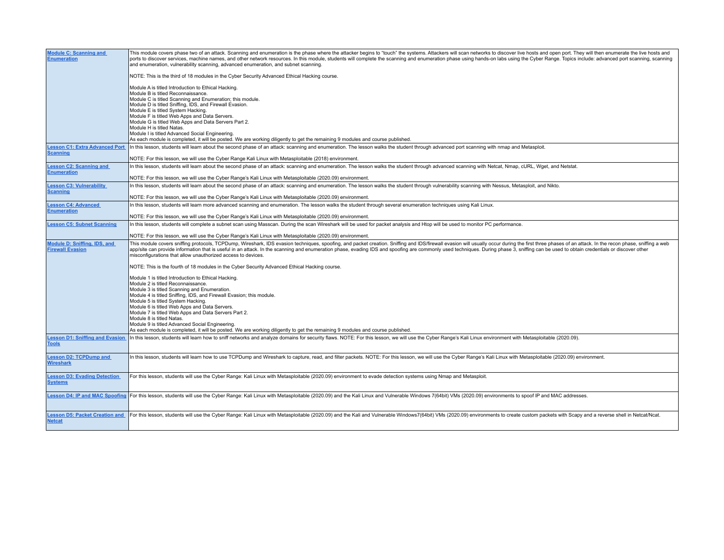| <b>Module C: Scanning and</b><br><b>Enumeration</b>     | This module covers phase two of an attack. Scanning and enumeration is the phase where the attacker begins to "touch" the systems. Attackers will scan networks to discover live hosts and open port. They will then enumerate<br>ports to discover services, machine names, and other network resources. In this module, students will complete the scanning and enumeration phase using hands-on labs using the Cyber Range. Topics include: advanced port sca<br>and enumeration, vulnerability scanning, advanced enumeration, and subnet scanning.<br>NOTE: This is the third of 18 modules in the Cyber Security Advanced Ethical Hacking course.<br>Module A is titled Introduction to Ethical Hacking.<br>Module B is titled Reconnaissance.<br>Module C is titled Scanning and Enumeration; this module.<br>Module D is titled Sniffing, IDS, and Firewall Evasion.<br>Module E is titled System Hacking.<br>Module F is titled Web Apps and Data Servers.<br>Module G is titled Web Apps and Data Servers Part 2.<br>Module H is titled Natas.<br>Module I is titled Advanced Social Engineering.<br>As each module is completed, it will be posted. We are working diligently to get the remaining 9 modules and course published |
|---------------------------------------------------------|----------------------------------------------------------------------------------------------------------------------------------------------------------------------------------------------------------------------------------------------------------------------------------------------------------------------------------------------------------------------------------------------------------------------------------------------------------------------------------------------------------------------------------------------------------------------------------------------------------------------------------------------------------------------------------------------------------------------------------------------------------------------------------------------------------------------------------------------------------------------------------------------------------------------------------------------------------------------------------------------------------------------------------------------------------------------------------------------------------------------------------------------------------------------------------------------------------------------------------------------|
| <b>Lesson C1: Extra Advanced Port</b>                   | In this lesson, students will learn about the second phase of an attack: scanning and enumeration. The lesson walks the student through advanced port scanning with nmap and Metasploit.                                                                                                                                                                                                                                                                                                                                                                                                                                                                                                                                                                                                                                                                                                                                                                                                                                                                                                                                                                                                                                                     |
| <b>Scanning</b>                                         | NOTE: For this lesson, we will use the Cyber Range Kali Linux with Metasploitable (2018) environment.                                                                                                                                                                                                                                                                                                                                                                                                                                                                                                                                                                                                                                                                                                                                                                                                                                                                                                                                                                                                                                                                                                                                        |
| <b>Lesson C2: Scanning and</b>                          | In this lesson, students will learn about the second phase of an attack: scanning and enumeration. The lesson walks the student through advanced scanning with Netcat, Nmap, cURL, Wget, and Netstat.                                                                                                                                                                                                                                                                                                                                                                                                                                                                                                                                                                                                                                                                                                                                                                                                                                                                                                                                                                                                                                        |
| <b>Enumeration</b>                                      | NOTE: For this lesson, we will use the Cyber Range's Kali Linux with Metasploitable (2020.09) environment.                                                                                                                                                                                                                                                                                                                                                                                                                                                                                                                                                                                                                                                                                                                                                                                                                                                                                                                                                                                                                                                                                                                                   |
| <b>Lesson C3: Vulnerability</b>                         | In this lesson, students will learn about the second phase of an attack: scanning and enumeration. The lesson walks the student through vulnerability scanning with Nessus, Metasploit, and Nikto.                                                                                                                                                                                                                                                                                                                                                                                                                                                                                                                                                                                                                                                                                                                                                                                                                                                                                                                                                                                                                                           |
| <b>Scanning</b>                                         | NOTE: For this lesson, we will use the Cyber Range's Kali Linux with Metasploitable (2020.09) environment                                                                                                                                                                                                                                                                                                                                                                                                                                                                                                                                                                                                                                                                                                                                                                                                                                                                                                                                                                                                                                                                                                                                    |
| <b>Lesson C4: Advanced</b>                              | In this lesson, students will learn more advanced scanning and enumeration. The lesson walks the student through several enumeration techniques using Kali Linux.                                                                                                                                                                                                                                                                                                                                                                                                                                                                                                                                                                                                                                                                                                                                                                                                                                                                                                                                                                                                                                                                            |
| <b>Enumeration</b>                                      |                                                                                                                                                                                                                                                                                                                                                                                                                                                                                                                                                                                                                                                                                                                                                                                                                                                                                                                                                                                                                                                                                                                                                                                                                                              |
|                                                         | NOTE: For this lesson, we will use the Cyber Range's Kali Linux with Metasploitable (2020.09) environment                                                                                                                                                                                                                                                                                                                                                                                                                                                                                                                                                                                                                                                                                                                                                                                                                                                                                                                                                                                                                                                                                                                                    |
| <b>Lesson C5: Subnet Scanning</b>                       | In this lesson, students will complete a subnet scan using Masscan. During the scan Wireshark will be used for packet analysis and Htop will be used to monitor PC performance.                                                                                                                                                                                                                                                                                                                                                                                                                                                                                                                                                                                                                                                                                                                                                                                                                                                                                                                                                                                                                                                              |
|                                                         | NOTE: For this lesson, we will use the Cyber Range's Kali Linux with Metasploitable (2020.09) environment.                                                                                                                                                                                                                                                                                                                                                                                                                                                                                                                                                                                                                                                                                                                                                                                                                                                                                                                                                                                                                                                                                                                                   |
| Module D: Sniffing, IDS, and<br><b>Firewall Evasion</b> | This module covers sniffing protocols, TCPDump, Wireshark, IDS evasion techniques, spoofing, and packet creation. Sniffing and IDS/firewall evasion will usually occur during the first three phases of an attack. In the reco<br>app/site can provide information that is useful in an attack. In the scanning and enumeration phase, evading IDS and spoofing are commonly used techniques. During phase 3, sniffing can be used to obtain credentials or disc<br>misconfigurations that allow unauthorized access to devices.                                                                                                                                                                                                                                                                                                                                                                                                                                                                                                                                                                                                                                                                                                             |
|                                                         | NOTE: This is the fourth of 18 modules in the Cyber Security Advanced Ethical Hacking course.                                                                                                                                                                                                                                                                                                                                                                                                                                                                                                                                                                                                                                                                                                                                                                                                                                                                                                                                                                                                                                                                                                                                                |
|                                                         | Module 1 is titled Introduction to Ethical Hacking.<br>Module 2 is titled Reconnaissance.<br>Module 3 is titled Scanning and Enumeration.<br>Module 4 is titled Sniffing, IDS, and Firewall Evasion; this module.<br>Module 5 is titled System Hacking.<br>Module 6 is titled Web Apps and Data Servers.                                                                                                                                                                                                                                                                                                                                                                                                                                                                                                                                                                                                                                                                                                                                                                                                                                                                                                                                     |
|                                                         | Module 7 is titled Web Apps and Data Servers Part 2.                                                                                                                                                                                                                                                                                                                                                                                                                                                                                                                                                                                                                                                                                                                                                                                                                                                                                                                                                                                                                                                                                                                                                                                         |
|                                                         | Module 8 is titled Natas.<br>Module 9 is titled Advanced Social Engineering.                                                                                                                                                                                                                                                                                                                                                                                                                                                                                                                                                                                                                                                                                                                                                                                                                                                                                                                                                                                                                                                                                                                                                                 |
|                                                         | As each module is completed, it will be posted. We are working diligently to get the remaining 9 modules and course published                                                                                                                                                                                                                                                                                                                                                                                                                                                                                                                                                                                                                                                                                                                                                                                                                                                                                                                                                                                                                                                                                                                |
| <b>Lesson D1: Sniffing and Evasion</b><br><b>Tools</b>  | In this lesson, students will learn how to sniff networks and analyze domains for security flaws. NOTE: For this lesson, we will use the Cyber Range's Kali Linux environment with Metasploitable (2020.09).                                                                                                                                                                                                                                                                                                                                                                                                                                                                                                                                                                                                                                                                                                                                                                                                                                                                                                                                                                                                                                 |
| <b>Lesson D2: TCPDump and</b><br><b>Wireshark</b>       | In this lesson, students will learn how to use TCPDump and Wireshark to capture, read, and filter packets. NOTE: For this lesson, we will use the Cyber Range's Kali Linux with Metasploitable (2020.09) environment.                                                                                                                                                                                                                                                                                                                                                                                                                                                                                                                                                                                                                                                                                                                                                                                                                                                                                                                                                                                                                        |
| <b>Lesson D3: Evading Detection</b><br><b>Systems</b>   | For this lesson, students will use the Cyber Range: Kali Linux with Metasploitable (2020.09) environment to evade detection systems using Nmap and Metasploit.                                                                                                                                                                                                                                                                                                                                                                                                                                                                                                                                                                                                                                                                                                                                                                                                                                                                                                                                                                                                                                                                               |
|                                                         | Lesson D4: IP and MAC Spoofing   For this lesson, students will use the Cyber Range: Kali Linux with Metasploitable (2020.09) and the Kali Linux and Vulnerable Windows 7(64bit) VMs (2020.09) environments to spoof IP and MA                                                                                                                                                                                                                                                                                                                                                                                                                                                                                                                                                                                                                                                                                                                                                                                                                                                                                                                                                                                                               |
| <b>Lesson D5: Packet Creation and</b><br><b>Netcat</b>  | For this lesson, students will use the Cyber Range: Kali Linux with Metasploitable (2020.09) and the Kali and Vulnerable Windows7(64bit) VMs (2020.09) environments to create custom packets with Scapy and a reverse shell in                                                                                                                                                                                                                                                                                                                                                                                                                                                                                                                                                                                                                                                                                                                                                                                                                                                                                                                                                                                                               |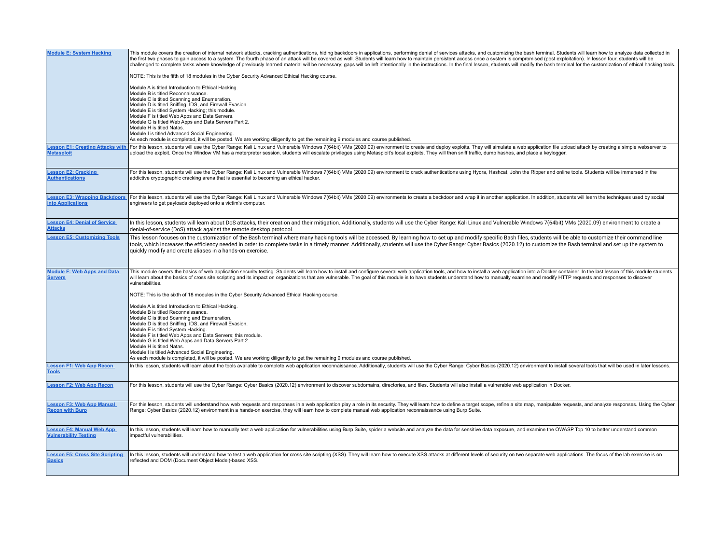| <b>Module E: System Hacking</b>                      | This module covers the creation of internal network attacks, cracking authentications, hiding backdoors in applications, performing denial of services attacks, and customizing the bash terminal. Students will learn how to<br>the first two phases to gain access to a system. The fourth phase of an attack will be covered as well. Students will learn how to maintain persistent access once a system is compromised (post exploitation). In lesson four<br>challenged to complete tasks where knowledge of previously learned material will be necessary; gaps will be left intentionally in the instructions. In the final lesson, students will modify the bash terminal for the custom<br>NOTE: This is the fifth of 18 modules in the Cyber Security Advanced Ethical Hacking course.<br>Module A is titled Introduction to Ethical Hacking.<br>Module B is titled Reconnaissance.<br>Module C is titled Scanning and Enumeration.<br>Module D is titled Sniffing, IDS, and Firewall Evasion.<br>Module E is titled System Hacking; this module.<br>Module F is titled Web Apps and Data Servers.<br>Module G is titled Web Apps and Data Servers Part 2.<br>Module H is titled Natas.<br>Module I is titled Advanced Social Engineering.<br>As each module is completed, it will be posted. We are working diligently to get the remaining 9 modules and course published. |
|------------------------------------------------------|-----------------------------------------------------------------------------------------------------------------------------------------------------------------------------------------------------------------------------------------------------------------------------------------------------------------------------------------------------------------------------------------------------------------------------------------------------------------------------------------------------------------------------------------------------------------------------------------------------------------------------------------------------------------------------------------------------------------------------------------------------------------------------------------------------------------------------------------------------------------------------------------------------------------------------------------------------------------------------------------------------------------------------------------------------------------------------------------------------------------------------------------------------------------------------------------------------------------------------------------------------------------------------------------------------------------------------------------------------------------------------------------|
| <b>Lesson E1: Creating Attacks with</b>              | For this lesson, students will use the Cyber Range: Kali Linux and Vulnerable Windows 7(64bit) VMs (2020.09) environment to create and deploy exploits. They will simulate a web application file upload attack by creating a                                                                                                                                                                                                                                                                                                                                                                                                                                                                                                                                                                                                                                                                                                                                                                                                                                                                                                                                                                                                                                                                                                                                                           |
| <b>Metasploit</b>                                    | upload the exploit. Once the Window VM has a meterpreter session, students will escalate privileges using Metasploit's local exploits. They will then sniff traffic, dump hashes, and place a keylogger.                                                                                                                                                                                                                                                                                                                                                                                                                                                                                                                                                                                                                                                                                                                                                                                                                                                                                                                                                                                                                                                                                                                                                                                |
| <b>Lesson E2: Cracking</b>                           | For this lesson, students will use the Cyber Range: Kali Linux and Vulnerable Windows 7(64bit) VMs (2020.09) environment to crack authentications using Hydra, Hashcat, John the Ripper and online tools. Students will be imm                                                                                                                                                                                                                                                                                                                                                                                                                                                                                                                                                                                                                                                                                                                                                                                                                                                                                                                                                                                                                                                                                                                                                          |
| <b>Authentications</b>                               | addictive cryptographic cracking arena that is essential to becoming an ethical hacker.                                                                                                                                                                                                                                                                                                                                                                                                                                                                                                                                                                                                                                                                                                                                                                                                                                                                                                                                                                                                                                                                                                                                                                                                                                                                                                 |
| <b>Lesson E3: Wrapping Backdoors</b>                 | For this lesson, students will use the Cyber Range: Kali Linux and Vulnerable Windows 7(64bit) VMs (2020.09) environments to create a backdoor and wrap it in another application. In addition, students will learn the techni                                                                                                                                                                                                                                                                                                                                                                                                                                                                                                                                                                                                                                                                                                                                                                                                                                                                                                                                                                                                                                                                                                                                                          |
| <b>into Applications</b>                             | engineers to get payloads deployed onto a victim's computer.                                                                                                                                                                                                                                                                                                                                                                                                                                                                                                                                                                                                                                                                                                                                                                                                                                                                                                                                                                                                                                                                                                                                                                                                                                                                                                                            |
| <b>Lesson E4: Denial of Service</b>                  | In this lesson, students will learn about DoS attacks, their creation and their mitigation. Additionally, students will use the Cyber Range: Kali Linux and Vulnerable Windows 7(64bit) VMs (2020.09) environment to create a                                                                                                                                                                                                                                                                                                                                                                                                                                                                                                                                                                                                                                                                                                                                                                                                                                                                                                                                                                                                                                                                                                                                                           |
| <b>Attacks</b>                                       | denial-of-service (DoS) attack against the remote desktop protocol.                                                                                                                                                                                                                                                                                                                                                                                                                                                                                                                                                                                                                                                                                                                                                                                                                                                                                                                                                                                                                                                                                                                                                                                                                                                                                                                     |
| <b>Lesson E5: Customizing Tools</b>                  | This lesson focuses on the customization of the Bash terminal where many hacking tools will be accessed. By learning how to set up and modify specific Bash files, students will be able to customize their command line<br>tools, which increases the efficiency needed in order to complete tasks in a timely manner. Additionally, students will use the Cyber Range: Cyber Basics (2020.12) to customize the Bash terminal and set up the system to<br>quickly modify and create aliases in a hands-on exercise.                                                                                                                                                                                                                                                                                                                                                                                                                                                                                                                                                                                                                                                                                                                                                                                                                                                                    |
| <b>Module F: Web Apps and Data</b><br><b>Servers</b> | This module covers the basics of web application security testing. Students will learn how to install and configure several web application tools, and how to install a web application into a Docker container. In the last l<br>will learn about the basics of cross site scripting and its impact on organizations that are vulnerable. The goal of this module is to have students understand how to manually examine and modify HTTP requests and responses<br>vulnerabilities.<br>NOTE: This is the sixth of 18 modules in the Cyber Security Advanced Ethical Hacking course.<br>Module A is titled Introduction to Ethical Hacking.<br>Module B is titled Reconnaissance.<br>Module C is titled Scanning and Enumeration.<br>Module D is titled Sniffing, IDS, and Firewall Evasion.<br>Module E is titled System Hacking.<br>Module F is titled Web Apps and Data Servers; this module.<br>Module G is titled Web Apps and Data Servers Part 2.<br>Module H is titled Natas.<br>Module I is titled Advanced Social Engineering.<br>As each module is completed, it will be posted. We are working diligently to get the remaining 9 modules and course published.                                                                                                                                                                                                              |
| <b>Lesson F1: Web App Recon</b><br><b>Tools</b>      | In this lesson, students will learn about the tools available to complete web application reconnaissance. Additionally, students will use the Cyber Range: Cyber Basics (2020.12) environment to install several tools that wi                                                                                                                                                                                                                                                                                                                                                                                                                                                                                                                                                                                                                                                                                                                                                                                                                                                                                                                                                                                                                                                                                                                                                          |
| <b>Lesson F2: Web App Recon</b>                      | For this lesson, students will use the Cyber Range: Cyber Basics (2020.12) environment to discover subdomains, directories, and files. Students will also install a vulnerable web application in Docker.                                                                                                                                                                                                                                                                                                                                                                                                                                                                                                                                                                                                                                                                                                                                                                                                                                                                                                                                                                                                                                                                                                                                                                               |
| <b>Lesson F3: Web App Manual</b>                     | For this lesson, students will understand how web requests and responses in a web application play a role in its security. They will learn how to define a target scope, refine a site map, manipulate requests, and analyze r                                                                                                                                                                                                                                                                                                                                                                                                                                                                                                                                                                                                                                                                                                                                                                                                                                                                                                                                                                                                                                                                                                                                                          |
| <b>Recon with Burp</b>                               | Range: Cyber Basics (2020.12) environment in a hands-on exercise, they will learn how to complete manual web application reconnaissance using Burp Suite.                                                                                                                                                                                                                                                                                                                                                                                                                                                                                                                                                                                                                                                                                                                                                                                                                                                                                                                                                                                                                                                                                                                                                                                                                               |
| <b>Lesson F4: Manual Web App</b>                     | In this lesson, students will learn how to manually test a web application for vulnerabilities using Burp Suite, spider a website and analyze the data for sensitive data exposure, and examine the OWASP Top 10 to better und                                                                                                                                                                                                                                                                                                                                                                                                                                                                                                                                                                                                                                                                                                                                                                                                                                                                                                                                                                                                                                                                                                                                                          |
| <b>Vulnerability Testing</b>                         | impactful vulnerabilities.                                                                                                                                                                                                                                                                                                                                                                                                                                                                                                                                                                                                                                                                                                                                                                                                                                                                                                                                                                                                                                                                                                                                                                                                                                                                                                                                                              |
| <b>Lesson F5: Cross Site Scripting</b>               | In this lesson, students will understand how to test a web application for cross site scripting (XSS). They will learn how to execute XSS attacks at different levels of security on two separate web applications. The focus                                                                                                                                                                                                                                                                                                                                                                                                                                                                                                                                                                                                                                                                                                                                                                                                                                                                                                                                                                                                                                                                                                                                                           |
| <b>Basics</b>                                        | reflected and DOM (Document Object Model)-based XSS.                                                                                                                                                                                                                                                                                                                                                                                                                                                                                                                                                                                                                                                                                                                                                                                                                                                                                                                                                                                                                                                                                                                                                                                                                                                                                                                                    |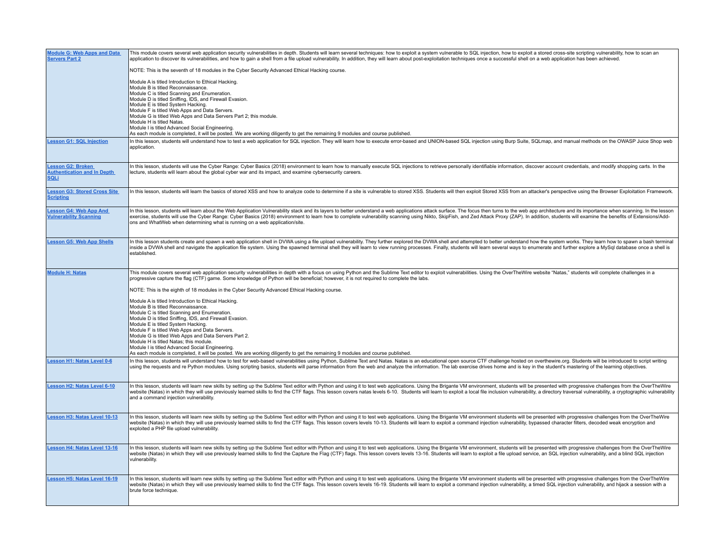| <b>Module G: Web Apps and Data</b><br><b>Servers Part 2</b>                   | This module covers several web application security vulnerabilities in depth. Students will learn several techniques: how to exploit a system vulnerable to SQL injection, how to exploit a stored cross-site scripting vulner<br>application to discover its vulnerabilities, and how to gain a shell from a file upload vulnerability. In addition, they will learn about post-exploitation techniques once a successful shell on a web application has been a                                                                                                                  |
|-------------------------------------------------------------------------------|-----------------------------------------------------------------------------------------------------------------------------------------------------------------------------------------------------------------------------------------------------------------------------------------------------------------------------------------------------------------------------------------------------------------------------------------------------------------------------------------------------------------------------------------------------------------------------------|
|                                                                               | NOTE: This is the seventh of 18 modules in the Cyber Security Advanced Ethical Hacking course.                                                                                                                                                                                                                                                                                                                                                                                                                                                                                    |
|                                                                               | Module A is titled Introduction to Ethical Hacking.<br>Module B is titled Reconnaissance.<br>Module C is titled Scanning and Enumeration.<br>Module D is titled Sniffing, IDS, and Firewall Evasion.<br>Module E is titled System Hacking.<br>Module F is titled Web Apps and Data Servers.<br>Module G is titled Web Apps and Data Servers Part 2; this module.<br>Module H is titled Natas.<br>Module I is titled Advanced Social Engineering.<br>As each module is completed, it will be posted. We are working diligently to get the remaining 9 modules and course published |
| <b>Lesson G1: SQL Injection</b>                                               | In this lesson, students will understand how to test a web application for SQL injection. They will learn how to execute error-based and UNION-based SQL injection using Burp Suite, SQLmap, and manual methods on the OWASP J<br>application.                                                                                                                                                                                                                                                                                                                                    |
|                                                                               |                                                                                                                                                                                                                                                                                                                                                                                                                                                                                                                                                                                   |
| <b>Lesson G2: Broken</b><br><b>Authentication and In Depth</b><br><b>SQLi</b> | In this lesson, students will use the Cyber Range: Cyber Basics (2018) environment to leam how to manually execute SQL injections to retrieve personally identifiable information, discover account credentials, and modify sh<br>lecture, students will learn about the global cyber war and its impact, and examine cybersecurity careers.                                                                                                                                                                                                                                      |
| <b>Lesson G3: Stored Cross Site</b><br><u>Scripting</u>                       | In this lesson, students will learn the basics of stored XSS and how to analyze code to determine if a site is vulnerable to stored XSS. Students will then exploit Stored XSS from an attacker's perspective using the Browse                                                                                                                                                                                                                                                                                                                                                    |
| <b>Lesson G4: Web App And</b><br><b>Vulnerability Scanning</b>                | In this lesson, students will learn about the Web Application Vulnerability stack and its layers to better understand a web applications attack surface. The focus then turns to the web app architecture and its importance w<br>exercise, students will use the Cyber Range: Cyber Basics (2018) environment to learn how to complete vulnerability scanning using Nikto, SkipFish, and Zed Attack Proxy (ZAP). In addition, students will examine the benefit<br>ons and WhatWeb when determining what is running on a web application/site.                                   |
| <b>Lesson G5: Web App Shells</b>                                              | In this lesson students create and spawn a web application shell in DVWA using a file upload vulnerability. They further explored the DVWA shell and attempted to better understand how the system works. They learn how to sp<br>inside a DVWA shell and navigate the application file system. Using the spawned terminal shell they will learn to view running processes. Finally, students will learn several ways to enumerate and further explore a MySql d<br>established                                                                                                   |
| <b>Module H: Natas</b>                                                        | This module covers several web application security vulnerabilities in depth with a focus on using Python and the Sublime Text editor to exploit vulnerabilities. Using the OverTheWire website "Natas." students will complet<br>progressive capture the flag (CTF) game. Some knowledge of Python will be beneficial; however, it is not required to complete the labs.                                                                                                                                                                                                         |
|                                                                               | NOTE: This is the eighth of 18 modules in the Cyber Security Advanced Ethical Hacking course                                                                                                                                                                                                                                                                                                                                                                                                                                                                                      |
|                                                                               | Module A is titled Introduction to Ethical Hacking<br>Module B is titled Reconnaissance.<br>Module C is titled Scanning and Enumeration.<br>Module D is titled Sniffing, IDS, and Firewall Evasion.<br>Module E is titled System Hacking.<br>Module F is titled Web Apps and Data Servers.<br>Module G is titled Web Apps and Data Servers Part 2.<br>Module H is titled Natas; this module.<br>Module I is titled Advanced Social Engineering.<br>As each module is completed, it will be posted. We are working diligently to get the remaining 9 modules and course published. |
| <b>Lesson H1: Natas Level 0-6</b>                                             | In this lesson, students will understand how to test for web-based vulnerabilities using Python, Sublime Text and Natas. Natas is an educational open source CTF challenge hosted on overthewire.org. Students will be introdu<br>using the requests and re Python modules. Using scripting basics, students will parse information from the web and analyze the information. The lab exercise drives home and is key in the student's mastering of the learning                                                                                                                  |
| <b>Lesson H2: Natas Level 6-10</b>                                            | In this lesson, students will learn new skills by setting up the Sublime Text editor with Python and using it to test web applications. Using the Brigante VM environment, students will be presented with progressive challen<br>website (Natas) in which they will use previously learned skills to find the CTF flags. This lesson covers natas levels 6-10. Students will learn to exploit a local file inclusion vulnerability, a directory traversal vulne<br>and a command injection vulnerability.                                                                        |
| Lesson H3: Natas Level 10-13                                                  | In this lesson, students will learn new skills by setting up the Sublime Text editor with Python and using it to test web applications. Using the Brigante VM environment students will be presented with progressive challeng<br>website (Natas) in which they will use previously learned skills to find the CTF flags. This lesson covers levels 10-13. Students will learn to exploit a command injection vulnerability, bypassed character filters, decoded<br>exploited a PHP file upload vulnerability.                                                                    |
| <b>Lesson H4: Natas Level 13-16</b>                                           | In this lesson, students will learn new skills by setting up the Sublime Text editor with Python and using it to test web applications. Using the Brigante VM environment, students will be presented with progressive challen<br>website (Natas) in which they will use previously learned skills to find the Capture the Flag (CTF) flags. This lesson covers levels 13-16. Students will learn to exploit a file upload service, an SQL injection vulnerabili<br>vulnerability.                                                                                                |
| Lesson H5: Natas Level 16-19                                                  | In this lesson, students will learn new skills by setting up the Sublime Text editor with Python and using it to test web applications. Using the Brigante VM environment students will be presented with progressive challeng<br>website (Natas) in which they will use previously learned skills to find the CTF flags. This lesson covers levels 16-19. Students will learn to exploit a command injection vulnerability, a timed SQL injection vulnerability<br>brute force technique.                                                                                        |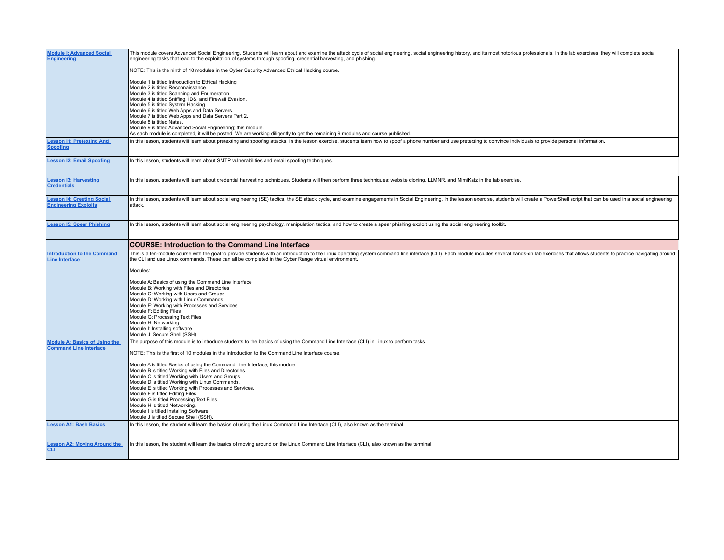| <b>Module I: Advanced Social</b><br><b>Engineering</b>      | This module covers Advanced Social Engineering. Students will learn about and examine the attack cycle of social engineering, social engineering history, and its most notorious professionals. In the lab exercises, they wil<br>engineering tasks that lead to the exploitation of systems through spoofing, credential harvesting, and phishing. |
|-------------------------------------------------------------|-----------------------------------------------------------------------------------------------------------------------------------------------------------------------------------------------------------------------------------------------------------------------------------------------------------------------------------------------------|
|                                                             | NOTE: This is the ninth of 18 modules in the Cyber Security Advanced Ethical Hacking course.                                                                                                                                                                                                                                                        |
|                                                             | Module 1 is titled Introduction to Ethical Hacking.<br>Module 2 is titled Reconnaissance.<br>Module 3 is titled Scanning and Enumeration.<br>Module 4 is titled Sniffing, IDS, and Firewall Evasion.<br>Module 5 is titled System Hacking.                                                                                                          |
|                                                             | Module 6 is titled Web Apps and Data Servers.<br>Module 7 is titled Web Apps and Data Servers Part 2.<br>Module 8 is titled Natas.<br>Module 9 is titled Advanced Social Engineering; this module.<br>As each module is completed, it will be posted. We are working diligently to get the remaining 9 modules and course published.                |
| <b>Lesson I1: Pretexting And</b><br><b>Spoofing</b>         | In this lesson, students will learn about pretexting and spoofing attacks. In the lesson exercise, students learn how to spoof a phone number and use pretexting to convince individuals to provide personal information.                                                                                                                           |
| <b>Lesson I2: Email Spoofing</b>                            | In this lesson, students will learn about SMTP vulnerabilities and email spoofing techniques.                                                                                                                                                                                                                                                       |
| <b>Lesson I3: Harvesting</b><br><b>Credentials</b>          | In this lesson, students will learn about credential harvesting techniques. Students will then perform three techniques: website cloning, LLMNR, and MimiKatz in the lab exercise.                                                                                                                                                                  |
| esson I4: Creating Social<br><b>Engineering Exploits</b>    | In this lesson, students will learn about social engineering (SE) tactics, the SE attack cycle, and examine engagements in Social Engineering. In the lesson exercise, students will create a PowerShell script that can be us<br>attack.                                                                                                           |
| <b>Lesson I5: Spear Phishing</b>                            | In this lesson, students will learn about social engineering psychology, manipulation tactics, and how to create a spear phishing exploit using the social engineering toolkit.                                                                                                                                                                     |
|                                                             | <b>COURSE: Introduction to the Command Line Interface</b>                                                                                                                                                                                                                                                                                           |
|                                                             |                                                                                                                                                                                                                                                                                                                                                     |
| <b>Introduction to the Command</b><br><b>Line Interface</b> | This is a ten-module course with the goal to provide students with an introduction to the Linux operating system command line interface (CLI). Each module includes several hands-on lab exercises that allows students to pra<br>the CLI and use Linux commands. These can all be completed in the Cyber Range virtual environment.                |
|                                                             | Modules:                                                                                                                                                                                                                                                                                                                                            |
|                                                             | Module A: Basics of using the Command Line Interface<br>Module B: Working with Files and Directories<br>Module C: Working with Users and Groups<br>Module D: Working with Linux Commands                                                                                                                                                            |
|                                                             | Module E: Working with Processes and Services<br>Module F: Editing Files<br>Module G: Processing Text Files                                                                                                                                                                                                                                         |
|                                                             | Module H: Networking<br>Module I: Installing software<br>Module J: Secure Shell (SSH)                                                                                                                                                                                                                                                               |
| <b>Module A: Basics of Using the</b>                        | The purpose of this module is to introduce students to the basics of using the Command Line Interface (CLI) in Linux to perform tasks.                                                                                                                                                                                                              |
| <b>Command Line Interface</b>                               | NOTE: This is the first of 10 modules in the Introduction to the Command Line Interface course.                                                                                                                                                                                                                                                     |
|                                                             | Module A is titled Basics of using the Command Line Interface; this module.<br>Module B is titled Working with Files and Directories.<br>Module C is titled Working with Users and Groups.                                                                                                                                                          |
|                                                             | Module D is titled Working with Linux Commands.<br>Module E is titled Working with Processes and Services.                                                                                                                                                                                                                                          |
|                                                             | Module F is titled Editing Files.<br>Module G is titled Processing Text Files.<br>Module H is titled Networking.<br>Module I is titled Installing Software.                                                                                                                                                                                         |
| <b>Lesson A1: Bash Basics</b>                               | Module J is titled Secure Shell (SSH).<br>In this lesson, the student will learn the basics of using the Linux Command Line Interface (CLI), also known as the terminal.                                                                                                                                                                            |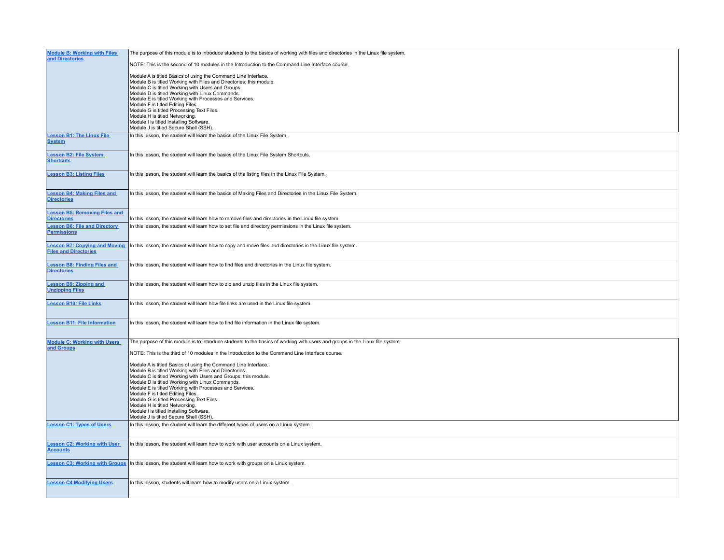| <b>Module B: Working with Files</b>                           | The purpose of this module is to introduce students to the basics of working with files and directories in the Linux file system.                                                                                                                                                                                                                                                                                                                                                                                 |
|---------------------------------------------------------------|-------------------------------------------------------------------------------------------------------------------------------------------------------------------------------------------------------------------------------------------------------------------------------------------------------------------------------------------------------------------------------------------------------------------------------------------------------------------------------------------------------------------|
| and Directories                                               | NOTE: This is the second of 10 modules in the Introduction to the Command Line Interface course.                                                                                                                                                                                                                                                                                                                                                                                                                  |
|                                                               | Module A is titled Basics of using the Command Line Interface.<br>Module B is titled Working with Files and Directories; this module.<br>Module C is titled Working with Users and Groups.<br>Module D is titled Working with Linux Commands.<br>Module E is titled Working with Processes and Services.<br>Module F is titled Editing Files.<br>Module G is titled Processing Text Files.<br>Module H is titled Networking.<br>Module I is titled Installing Software.<br>Module J is titled Secure Shell (SSH). |
| <b>Lesson B1: The Linux File</b>                              | In this lesson, the student will learn the basics of the Linux File System.                                                                                                                                                                                                                                                                                                                                                                                                                                       |
| <b>System</b>                                                 |                                                                                                                                                                                                                                                                                                                                                                                                                                                                                                                   |
| <b>Lesson B2: File System</b><br><b>Shortcuts</b>             | In this lesson, the student will learn the basics of the Linux File System Shortcuts.                                                                                                                                                                                                                                                                                                                                                                                                                             |
| <b>Lesson B3: Listing Files</b>                               | In this lesson, the student will learn the basics of the listing files in the Linux File System.                                                                                                                                                                                                                                                                                                                                                                                                                  |
| Lesson B4: Making Files and<br>Directories                    | In this lesson, the student will learn the basics of Making Files and Directories in the Linux File System.                                                                                                                                                                                                                                                                                                                                                                                                       |
| <b>Lesson B5: Removing Files and</b><br><b>Directories</b>    | In this lesson, the student will learn how to remove files and directories in the Linux file system.                                                                                                                                                                                                                                                                                                                                                                                                              |
| <b>Lesson B6: File and Directory</b><br><b>Permissions</b>    | In this lesson, the student will learn how to set file and directory permissions in the Linux file system.                                                                                                                                                                                                                                                                                                                                                                                                        |
| <b>Lesson B7: Copying and Moving</b><br>Files and Directories | In this lesson, the student will learn how to copy and move files and directories in the Linux file system.                                                                                                                                                                                                                                                                                                                                                                                                       |
| <b>Lesson B8: Finding Files and</b><br><b>Directories</b>     | In this lesson, the student will learn how to find files and directories in the Linux file system.                                                                                                                                                                                                                                                                                                                                                                                                                |
| <b>Lesson B9: Zipping and</b><br><b>Unzipping Files</b>       | In this lesson, the student will learn how to zip and unzip files in the Linux file system.                                                                                                                                                                                                                                                                                                                                                                                                                       |
| <b>Lesson B10: File Links</b>                                 | In this lesson, the student will learn how file links are used in the Linux file system.                                                                                                                                                                                                                                                                                                                                                                                                                          |
| <b>Lesson B11: File Information</b>                           | In this lesson, the student will learn how to find file information in the Linux file system.                                                                                                                                                                                                                                                                                                                                                                                                                     |
| <b>Module C: Working with Users</b>                           | The purpose of this module is to introduce students to the basics of working with users and groups in the Linux file system.                                                                                                                                                                                                                                                                                                                                                                                      |
| and Groups                                                    | NOTE: This is the third of 10 modules in the Introduction to the Command Line Interface course.                                                                                                                                                                                                                                                                                                                                                                                                                   |
|                                                               | Module A is titled Basics of using the Command Line Interface.<br>Module B is titled Working with Files and Directories.<br>Module C is titled Working with Users and Groups; this module.<br>Module D is titled Working with Linux Commands.<br>Module E is titled Working with Processes and Services.<br>Module F is titled Editing Files.<br>Module G is titled Processing Text Files.<br>Module H is titled Networking.<br>Module I is titled Installing Software.<br>Module J is titled Secure Shell (SSH). |
| <b>Lesson C1: Types of Users</b>                              | In this lesson, the student will learn the different types of users on a Linux system.                                                                                                                                                                                                                                                                                                                                                                                                                            |
| <b>Lesson C2: Working with User</b><br><b>Accounts</b>        | In this lesson, the student will learn how to work with user accounts on a Linux system.                                                                                                                                                                                                                                                                                                                                                                                                                          |
| <b>Lesson C3: Working with Groups</b>                         | In this lesson, the student will learn how to work with groups on a Linux system.                                                                                                                                                                                                                                                                                                                                                                                                                                 |
| <b>Lesson C4 Modifying Users</b>                              | In this lesson, students will learn how to modify users on a Linux system.                                                                                                                                                                                                                                                                                                                                                                                                                                        |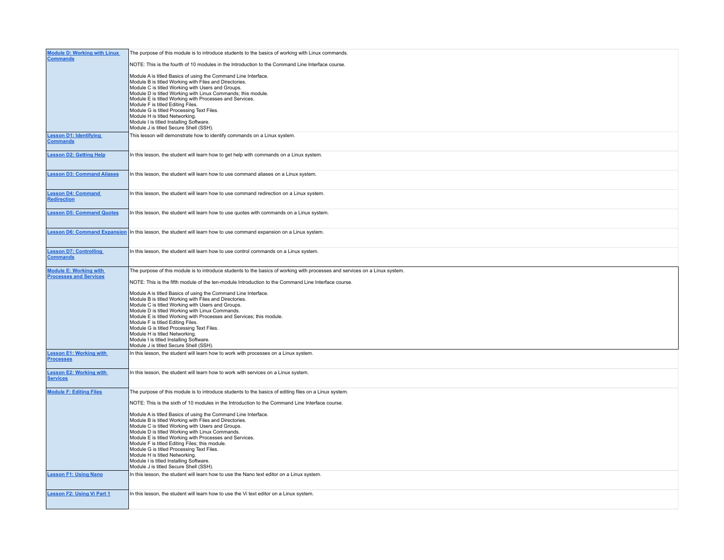| <b>Module D: Working with Linux</b><br><b>Commands</b>         | The purpose of this module is to introduce students to the basics of working with Linux commands.                                                                                                                                                                                                                                                                                                                                                                                                                                                                                                                                                                                                                             |
|----------------------------------------------------------------|-------------------------------------------------------------------------------------------------------------------------------------------------------------------------------------------------------------------------------------------------------------------------------------------------------------------------------------------------------------------------------------------------------------------------------------------------------------------------------------------------------------------------------------------------------------------------------------------------------------------------------------------------------------------------------------------------------------------------------|
|                                                                | NOTE: This is the fourth of 10 modules in the Introduction to the Command Line Interface course.                                                                                                                                                                                                                                                                                                                                                                                                                                                                                                                                                                                                                              |
|                                                                | Module A is titled Basics of using the Command Line Interface.<br>Module B is titled Working with Files and Directories.<br>Module C is titled Working with Users and Groups.<br>Module D is titled Working with Linux Commands; this module.<br>Module E is titled Working with Processes and Services.<br>Module F is titled Editing Files.<br>Module G is titled Processing Text Files.<br>Module H is titled Networking.<br>Module I is titled Installing Software.<br>Module J is titled Secure Shell (SSH).                                                                                                                                                                                                             |
| <b>Lesson D1: Identifying</b><br><b>Commands</b>               | This lesson will demonstrate how to identify commands on a Linux system.                                                                                                                                                                                                                                                                                                                                                                                                                                                                                                                                                                                                                                                      |
| <b>Lesson D2: Getting Help</b>                                 | In this lesson, the student will learn how to get help with commands on a Linux system.                                                                                                                                                                                                                                                                                                                                                                                                                                                                                                                                                                                                                                       |
| <b>Lesson D3: Command Aliases</b>                              | In this lesson, the student will learn how to use command aliases on a Linux system.                                                                                                                                                                                                                                                                                                                                                                                                                                                                                                                                                                                                                                          |
| <b>Lesson D4: Command</b><br>Redirection                       | In this lesson, the student will learn how to use command redirection on a Linux system.                                                                                                                                                                                                                                                                                                                                                                                                                                                                                                                                                                                                                                      |
| <b>Lesson D5: Command Quotes</b>                               | In this lesson, the student will learn how to use quotes with commands on a Linux system.                                                                                                                                                                                                                                                                                                                                                                                                                                                                                                                                                                                                                                     |
|                                                                | Lesson D6: Command Expansion In this lesson, the student will learn how to use command expansion on a Linux system.                                                                                                                                                                                                                                                                                                                                                                                                                                                                                                                                                                                                           |
| <b>Lesson D7: Controlling</b><br><b>Commands</b>               | In this lesson, the student will learn how to use control commands on a Linux system.                                                                                                                                                                                                                                                                                                                                                                                                                                                                                                                                                                                                                                         |
| <b>Module E: Working with</b><br><b>Processes and Services</b> | The purpose of this module is to introduce students to the basics of working with processes and services on a Linux system.<br>NOTE: This is the fifth module of the ten-module Introduction to the Command Line Interface course.                                                                                                                                                                                                                                                                                                                                                                                                                                                                                            |
|                                                                | Module A is titled Basics of using the Command Line Interface.<br>Module B is titled Working with Files and Directories.<br>Module C is titled Working with Users and Groups.<br>Module D is titled Working with Linux Commands.<br>Module E is titled Working with Processes and Services; this module.<br>Module F is titled Editing Files.<br>Module G is titled Processing Text Files.<br>Module H is titled Networking.<br>Module I is titled Installing Software.<br>Module J is titled Secure Shell (SSH).                                                                                                                                                                                                             |
| <b>Lesson E1: Working with</b><br><b>Processes</b>             | In this lesson, the student will learn how to work with processes on a Linux system.                                                                                                                                                                                                                                                                                                                                                                                                                                                                                                                                                                                                                                          |
| <b>Lesson E2: Working with</b><br><b>Services</b>              | In this lesson, the student will learn how to work with services on a Linux system.                                                                                                                                                                                                                                                                                                                                                                                                                                                                                                                                                                                                                                           |
| <b>Module F: Editing Files</b>                                 | The purpose of this module is to introduce students to the basics of editing files on a Linux system.<br>NOTE: This is the sixth of 10 modules in the Introduction to the Command Line Interface course.<br>Module A is titled Basics of using the Command Line Interface.<br>Module B is titled Working with Files and Directories.<br>Module C is titled Working with Users and Groups.<br>Module D is titled Working with Linux Commands.<br>Module E is titled Working with Processes and Services.<br>Module F is titled Editing Files; this module.<br>Module G is titled Processing Text Files.<br>Module H is titled Networking.<br>Module I is titled Installing Software.<br>Module J is titled Secure Shell (SSH). |
| <b>Lesson F1: Using Nano</b>                                   | In this lesson, the student will learn how to use the Nano text editor on a Linux system.                                                                                                                                                                                                                                                                                                                                                                                                                                                                                                                                                                                                                                     |
| <b>Lesson F2: Using Vi Part 1</b>                              | In this lesson, the student will learn how to use the Vi text editor on a Linux system.                                                                                                                                                                                                                                                                                                                                                                                                                                                                                                                                                                                                                                       |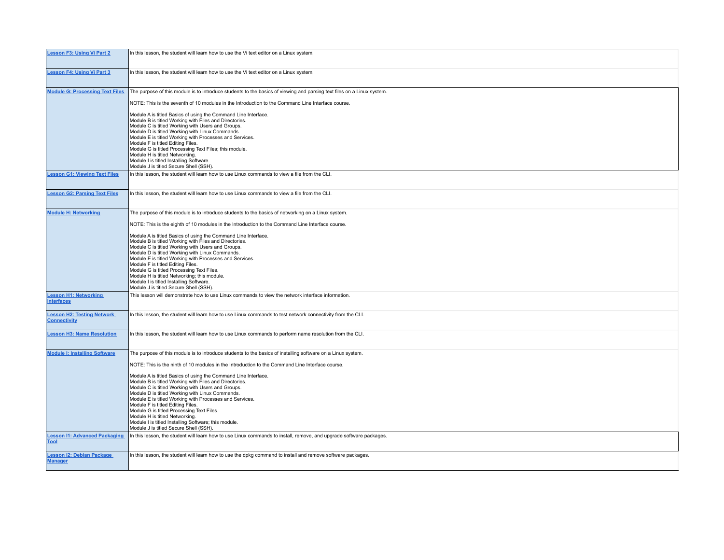| <b>Lesson F3: Using Vi Part 2</b>                        | In this lesson, the student will learn how to use the Vi text editor on a Linux system.                                                                                                                                                                                                                                                                                                                                                                                                                                                                                                                                                                                                                                             |
|----------------------------------------------------------|-------------------------------------------------------------------------------------------------------------------------------------------------------------------------------------------------------------------------------------------------------------------------------------------------------------------------------------------------------------------------------------------------------------------------------------------------------------------------------------------------------------------------------------------------------------------------------------------------------------------------------------------------------------------------------------------------------------------------------------|
| <b>Lesson F4: Using Vi Part 3</b>                        | In this lesson, the student will learn how to use the Vi text editor on a Linux system.                                                                                                                                                                                                                                                                                                                                                                                                                                                                                                                                                                                                                                             |
| <b>Module G: Processing Text Files</b>                   | The purpose of this module is to introduce students to the basics of viewing and parsing text files on a Linux system.<br>NOTE: This is the seventh of 10 modules in the Introduction to the Command Line Interface course.                                                                                                                                                                                                                                                                                                                                                                                                                                                                                                         |
|                                                          | Module A is titled Basics of using the Command Line Interface.<br>Module B is titled Working with Files and Directories.<br>Module C is titled Working with Users and Groups.<br>Module D is titled Working with Linux Commands.<br>Module E is titled Working with Processes and Services.<br>Module F is titled Editing Files.<br>Module G is titled Processing Text Files; this module.<br>Module H is titled Networking.<br>Module I is titled Installing Software.<br>Module J is titled Secure Shell (SSH).                                                                                                                                                                                                                   |
| <b>Lesson G1: Viewing Text Files</b>                     | In this lesson, the student will learn how to use Linux commands to view a file from the CLI.                                                                                                                                                                                                                                                                                                                                                                                                                                                                                                                                                                                                                                       |
| <b>Lesson G2: Parsing Text Files</b>                     | In this lesson, the student will learn how to use Linux commands to view a file from the CLI.                                                                                                                                                                                                                                                                                                                                                                                                                                                                                                                                                                                                                                       |
| <b>Module H: Networking</b>                              | The purpose of this module is to introduce students to the basics of networking on a Linux system.<br>NOTE: This is the eighth of 10 modules in the Introduction to the Command Line Interface course.<br>Module A is titled Basics of using the Command Line Interface.<br>Module B is titled Working with Files and Directories.<br>Module C is titled Working with Users and Groups.<br>Module D is titled Working with Linux Commands.<br>Module E is titled Working with Processes and Services.<br>Module F is titled Editing Files.<br>Module G is titled Processing Text Files.<br>Module H is titled Networking; this module.<br>Module I is titled Installing Software.<br>Module J is titled Secure Shell (SSH).         |
| <b>Lesson H1: Networking</b><br><b>Interfaces</b>        | This lesson will demonstrate how to use Linux commands to view the network interface information.                                                                                                                                                                                                                                                                                                                                                                                                                                                                                                                                                                                                                                   |
| <b>Lesson H2: Testing Network</b><br><b>Connectivity</b> | In this lesson, the student will learn how to use Linux commands to test network connectivity from the CLI.                                                                                                                                                                                                                                                                                                                                                                                                                                                                                                                                                                                                                         |
| <b>Lesson H3: Name Resolution</b>                        | In this lesson, the student will learn how to use Linux commands to perform name resolution from the CLI.                                                                                                                                                                                                                                                                                                                                                                                                                                                                                                                                                                                                                           |
| <b>Module I: Installing Software</b>                     | The purpose of this module is to introduce students to the basics of installing software on a Linux system.<br>NOTE: This is the ninth of 10 modules in the Introduction to the Command Line Interface course.<br>Module A is titled Basics of using the Command Line Interface.<br>Module B is titled Working with Files and Directories.<br>Module C is titled Working with Users and Groups.<br>Module D is titled Working with Linux Commands.<br>Module E is titled Working with Processes and Services.<br>Module F is titled Editing Files.<br>Module G is titled Processing Text Files.<br>Module H is titled Networking.<br>Module I is titled Installing Software; this module.<br>Module J is titled Secure Shell (SSH). |
| <b>Lesson I1: Advanced Packaging</b><br><b>Tool</b>      | In this lesson, the student will learn how to use Linux commands to install, remove, and upgrade software packages.                                                                                                                                                                                                                                                                                                                                                                                                                                                                                                                                                                                                                 |
| <b>Lesson 12: Debian Package</b><br><b>Manager</b>       | In this lesson, the student will learn how to use the dpkg command to install and remove software packages.                                                                                                                                                                                                                                                                                                                                                                                                                                                                                                                                                                                                                         |